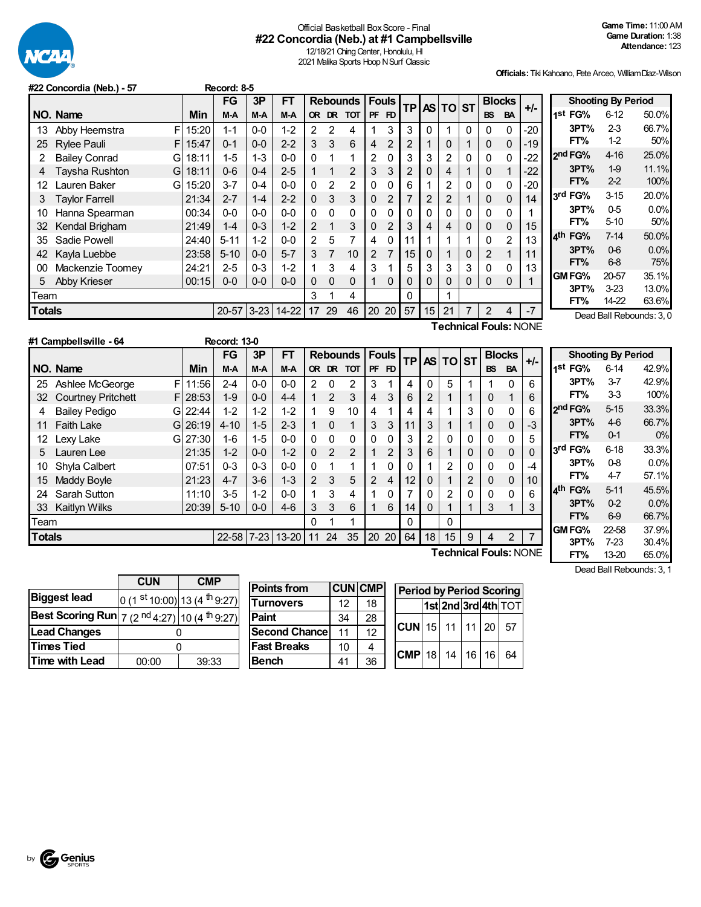

## Official Basketball BoxScore - Final **#22 Concordia (Neb.) at #1 Campbellsville**

12/18/21 Ching Center, Honolulu, HI 2021 Malika Sports Hoop N Surf Classic

**Officials:**Tiki Kahoano, Pete Arceo, WilliamDiaz-Wilson

|               | #22 Concordia (Neb.) - 57 |            | Record: 8-5 |          |           |                |             |                 |                |                 |                |                |                |                |                |               |       |                        |                           |                          |
|---------------|---------------------------|------------|-------------|----------|-----------|----------------|-------------|-----------------|----------------|-----------------|----------------|----------------|----------------|----------------|----------------|---------------|-------|------------------------|---------------------------|--------------------------|
|               |                           |            | <b>FG</b>   | 3P       | FT        |                |             | <b>Rebounds</b> |                | Fouls!          | ΤP             |                | AS TO ST       |                |                | <b>Blocks</b> | $+/-$ |                        | <b>Shooting By Period</b> |                          |
|               | NO. Name                  | <b>Min</b> | $M-A$       | M-A      | $M-A$     |                | OR DR       | <b>TOT</b>      | <b>PF</b>      | FD              |                |                |                |                | <b>BS</b>      | <b>BA</b>     |       | 1 <sup>st</sup> FG%    | $6-12$                    | 50.0%                    |
| 13            | F<br>Abby Heemstra        | 15:20      | $1 - 1$     | $0-0$    | $1 - 2$   | $\overline{2}$ | 2           | 4               |                | 3               | 3              | 0              |                | $\Omega$       | 0              | 0             | -20   | 3PT%                   | $2-3$                     | 66.7%                    |
| 25            | <b>Rylee Pauli</b><br>F.  | 15:47      | $0 - 1$     | $0-0$    | $2 - 2$   | 3              | 3           | 6               | 4              | $\overline{2}$  | $\overline{c}$ |                | 0              |                | 0              | $\mathbf{0}$  | $-19$ | FT%                    | $1-2$                     | 50%                      |
|               | <b>Bailey Conrad</b><br>G | 18:11      | $1 - 5$     | $1 - 3$  | $0 - 0$   | $\Omega$       |             |                 | $\overline{2}$ |                 | 3              | 3              | $\overline{2}$ | 0              | 0              | 0             | -22   | 2 <sup>nd</sup> FG%    | $4 - 16$                  | 25.0%                    |
|               | Taysha Rushton<br>Gl      | 18:11      | $0-6$       | $0 - 4$  | $2 - 5$   |                | $\mathbf 1$ | $\overline{2}$  | 3              | 3               | 2              | $\Omega$       | 4              |                | $\mathbf 0$    |               | $-22$ | 3PT%                   | $1-9$                     | 11.1%                    |
| 12            | Lauren Baker<br>G         | 15:20      | $3 - 7$     | $0 - 4$  | $0-0$     | $\Omega$       | 2           | 2               | 0              |                 | 6              |                | 2              | 0              | $\mathbf 0$    | $\Omega$      | -20   | FT%                    | 2 <sub>2</sub>            | 100%                     |
| 3             | <b>Taylor Farrell</b>     | 21:34      | $2 - 7$     | $1 - 4$  | $2 - 2$   | $\Omega$       | 3           | 3               | 0              | 2               |                | $\overline{2}$ |                |                | 0              | $\mathbf{0}$  | 14    | 3rd FG%                | $3 - 15$                  | 20.0%                    |
| 10            | Hanna Spearman            | 00:34      | 0-0         | $0 - 0$  | $0 - 0$   | $\Omega$       | 0           | 0               | 0              |                 | 0              | 0              | 0              | 0              | $\mathbf 0$    | 0             |       | 3PT%                   | $0-5$                     | 0.0%                     |
| 32            | Kendal Brigham            | 21:49      | $1 - 4$     | $0 - 3$  | $1 - 2$   | $\overline{2}$ |             | 3               | 0              | $\overline{2}$  | 3              | 4              | 4              | 0              | $\mathbf 0$    | $\mathbf{0}$  | 15    | FT%                    | $5-10$                    | 50%                      |
| 35            | Sadie Powell              | 24:40      | $5 - 11$    | $1 - 2$  | $0-0$     | $\overline{2}$ | 5           | 7               | 4              |                 | 11             |                |                |                | $\mathbf 0$    | 2             | 13    | 4 <sup>th</sup><br>FG% | $7 - 14$                  | 50.0%                    |
| 42            | Kayla Luebbe              | 23:58      | $5 - 10$    | $0-0$    | $5 - 7$   | 3              | 7           | 10              | $\overline{2}$ |                 | 15             | 0              |                | 0              | $\overline{2}$ |               | 11    | 3PT%                   | $0-6$                     | 0.0%                     |
| 00            | Mackenzie Toomey          | 24:21      | $2 - 5$     | $0 - 3$  | $1 - 2$   |                | 3           | 4               | 3              |                 | 5              | 3              | 3              | 3              | 0              | 0             | 13    | FT%                    | $6-8$                     | 75%                      |
| 5             | Abby Krieser              | 00:15      | $0-0$       | $0-0$    | $0-0$     | 0              | 0           | $\Omega$        |                | 0               | 0              | $\Omega$       | 0              | 0              | $\mathbf 0$    | 0             |       | GM FG%                 | 20-57                     | 35.1%                    |
| Team          |                           |            |             |          |           | 3              |             | 4               |                |                 | 0              |                |                |                |                |               |       | 3PT%                   | $3-23$                    | 13.0%                    |
| <b>Totals</b> |                           |            | $20 - 57$   | $3 - 23$ | $14 - 22$ | 17             | 29          | 46              | 20             | 20 <sub>1</sub> | 57             | 15             | 21             | $\overline{7}$ | 2              | 4             | $-7$  | FT%                    | 14-22                     | 63.6%                    |
|               |                           |            |             |          |           |                |             |                 |                |                 |                |                |                |                |                |               |       |                        |                           | Dead Ball Rebounds: 3, 0 |

**Technical Fouls:**NONE

|                   | #1 Campbellsville - 64    |    |           | <b>Record: 13-0</b> |         |           |                |                |                 |    |                 |           |              |              |                |           |                |                              |                           |          |       |
|-------------------|---------------------------|----|-----------|---------------------|---------|-----------|----------------|----------------|-----------------|----|-----------------|-----------|--------------|--------------|----------------|-----------|----------------|------------------------------|---------------------------|----------|-------|
|                   |                           |    |           | FG                  | 3P      | FТ        |                |                | <b>Rebounds</b> |    | <b>Fouls</b>    | <b>TP</b> | <b>AS</b>    | <b>TO ST</b> |                |           | <b>Blocks</b>  | $+/-$                        | <b>Shooting By Period</b> |          |       |
|                   | NO. Name                  |    | Min       | M-A                 | M-A     | M-A       |                | OR DR          | <b>TOT</b>      |    | PF FD           |           |              |              |                | <b>BS</b> | <b>BA</b>      |                              | 1 <sup>st</sup> FG%       | $6 - 14$ | 42.9% |
| 25                | Ashlee McGeorge           | F  | 11:56     | $2 - 4$             | $0 - 0$ | $0-0$     | $\overline{2}$ | 0              | 2               | 3  |                 | 4         | $\Omega$     | 5            |                |           |                | 6                            | 3PT%                      | $3 - 7$  | 42.9% |
| 32                | <b>Courtney Pritchett</b> | F. | 28:53     | $1 - 9$             | $0-0$   | $4 - 4$   |                | $\overline{2}$ | 3               | 4  | 3               | 6         | 2            |              |                | $\Omega$  |                | 6                            | FT%                       | 33       | 100%  |
|                   | <b>Bailey Pedigo</b>      | GI | 22:44     | $1 - 2$             | $1 - 2$ | $1 - 2$   |                | 9              | 10 <sup>°</sup> | 4  |                 | 4         | 4            |              | 3              | 0         |                | 6                            | 2nd FG%                   | $5 - 15$ | 33.3% |
| 11                | <b>Faith Lake</b>         |    | $G$ 26:19 | $4 - 10$            | $1-5$   | $2 - 3$   |                | $\Omega$       |                 | 3  | 3               | 11        | 3            |              |                | $\Omega$  | 0              | $-3$                         | 3PT%                      | 46       | 66.7% |
| $12 \overline{ }$ | Lexy Lake                 | G. | 27:30     | 1-6                 | $1 - 5$ | $0-0$     | 0              | 0              | 0               | 0  | 0               | 3         | 2            |              | 0              | $\Omega$  |                | 5                            | FT%                       | $0 - 1$  | 0%    |
| 5.                | Lauren Lee                |    | 21:35     | $1 - 2$             | $0-0$   | $1 - 2$   | 0              | 2              | 2               | 1  | 2               | 3         | 6            |              | 0              | $\Omega$  | 0              | $\Omega$                     | 3rd FG%                   | $6 - 18$ | 33.3% |
| 10                | Shyla Calbert             |    | 07:51     | $0 - 3$             | $0-3$   | $0-0$     | 0              |                |                 |    |                 | 0         |              | 2            | 0              | 0         |                | -4                           | 3PT%                      | $0-8$    | 0.0%  |
| 15                | Maddy Boyle               |    | 21:23     | $4 - 7$             | $3-6$   | $1 - 3$   | $\overline{2}$ | 3              | 5               | 2  | 4               | 12        | 0            |              | $\overline{2}$ | 0         | 0              | 10                           | FT%                       | $4 - 7$  | 57.1% |
| 24                | <b>Sarah Sutton</b>       |    | 11:10     | $3-5$               | $1 - 2$ | $0-0$     |                | 3              | 4               | 1  |                 |           | 0            | 2            | 0              | $\Omega$  |                | 6                            | 4 <sup>th</sup><br>FG%    | $5 - 11$ | 45.5% |
| 33                | Kaitlyn Wilks             |    | 20:39     | $5 - 10$            | $0-0$   | $4-6$     | 3              | 3              | 6               | 1  | 6               | 14        | $\mathbf{0}$ |              |                | 3         |                | 3                            | 3PT%                      | $0-2$    | 0.0%  |
| Team              |                           |    |           |                     |         |           | 0              |                |                 |    |                 | $\Omega$  |              | $\Omega$     |                |           |                |                              | FT%                       | $6-9$    | 66.7% |
| <b>Totals</b>     |                           |    |           | 22-58 7-23          |         | $13 - 20$ | 11             | 24             | 35              | 20 | 20 <sub>1</sub> | 64        | 18           | 15           | 9              | 4         | $\overline{2}$ | $\overline{7}$               | GM FG%                    | 22-58    | 37.9% |
|                   |                           |    |           |                     |         |           |                |                |                 |    |                 |           |              |              |                |           |                |                              | 3PT%                      | $7 - 23$ | 30.4% |
|                   |                           |    |           |                     |         |           |                |                |                 |    |                 |           |              |              |                |           |                | <b>Technical Fouls: NONE</b> | FT%                       | 13-20    | 65.0% |

Dead Ball Rebounds: 3, 1

|                                                                     | <b>CUN</b><br><b>CMP</b> |                               |  |  |  |  |  |
|---------------------------------------------------------------------|--------------------------|-------------------------------|--|--|--|--|--|
| <b>Biggest lead</b>                                                 |                          | 0 (1 st 10:00) 13 (4 th 9:27) |  |  |  |  |  |
| Best Scoring Run $ 7 (2 \text{ nd } 4:27) 10 (4 \text{ th } 9:27) $ |                          |                               |  |  |  |  |  |
| <b>Lead Changes</b>                                                 |                          |                               |  |  |  |  |  |
| <b>Times Tied</b>                                                   |                          |                               |  |  |  |  |  |
| <b>Time with Lead</b>                                               | 00:00                    | 39:33                         |  |  |  |  |  |

| <b>Points from</b>   |    | <b>CUN CMP</b> | <b>Period by Period Scoring</b>         |  |  |                     |
|----------------------|----|----------------|-----------------------------------------|--|--|---------------------|
| Turnovers            | 12 | 18             |                                         |  |  | 1st 2nd 3rd 4th TOT |
| Paint                | 34 | 28             |                                         |  |  |                     |
| <b>Second Chance</b> | 11 | 12             | $ CUN $ 15   11   11   20               |  |  | 57                  |
| <b>Fast Breaks</b>   | 10 |                | $ $ CMP $ $ 18 $ $ 14 $ $ 16 $ $ 16 $ $ |  |  | 64                  |
| <b>Bench</b>         | 41 | 36             |                                         |  |  |                     |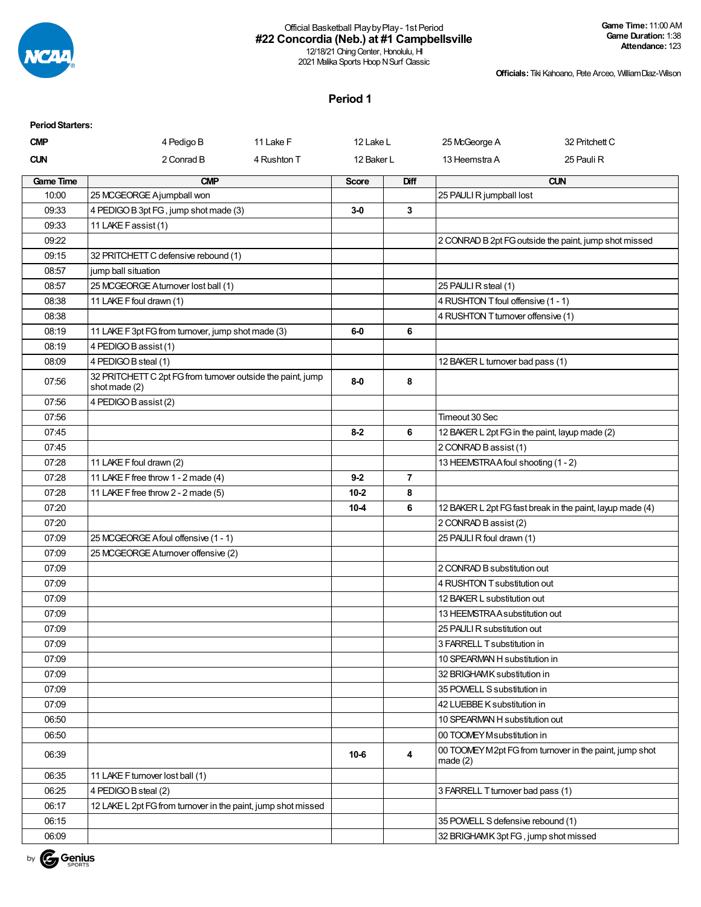

## Official Basketball PlaybyPlay- 1st Period **#22 Concordia (Neb.) at #1 Campbellsville**

**Game Time:** 11:00 AM **Game Duration:** 1:38 **Attendance:** 123

12/18/21 Ching Center, Honolulu, HI 2021 Malika Sports Hoop N Surf Classic

**Officials:**Tiki Kahoano, Pete Arceo, WilliamDiaz-Wilson

### **Period 1**

| <b>Period Starters:</b> |                                                                              |             |              |                |                                                |                                                           |
|-------------------------|------------------------------------------------------------------------------|-------------|--------------|----------------|------------------------------------------------|-----------------------------------------------------------|
| <b>CMP</b>              | 4 Pedigo B                                                                   | 11 Lake F   | 12 Lake L    |                | 25 McGeorge A                                  | 32 Pritchett C                                            |
| <b>CUN</b>              | 2 Conrad B                                                                   | 4 Rushton T | 12 Baker L   |                | 13 Heemstra A                                  | 25 Pauli R                                                |
| <b>Game Time</b>        | <b>CMP</b>                                                                   |             | <b>Score</b> | Diff           |                                                | <b>CUN</b>                                                |
| 10:00                   | 25 MCGEORGE Ajumpball won                                                    |             |              |                | 25 PAULI R jumpball lost                       |                                                           |
| 09:33                   | 4 PEDIGO B 3pt FG, jump shot made (3)                                        |             | 3-0          | 3              |                                                |                                                           |
| 09:33                   | 11 LAKE F assist (1)                                                         |             |              |                |                                                |                                                           |
| 09:22                   |                                                                              |             |              |                |                                                | 2 CONRAD B 2pt FG outside the paint, jump shot missed     |
| 09:15                   | 32 PRITCHETT C defensive rebound (1)                                         |             |              |                |                                                |                                                           |
| 08:57                   | jump ball situation                                                          |             |              |                |                                                |                                                           |
| 08:57                   | 25 MCGEORGE A turnover lost ball (1)                                         |             |              |                | 25 PAULI R steal (1)                           |                                                           |
| 08:38                   | 11 LAKE F foul drawn (1)                                                     |             |              |                | 4 RUSHTON T foul offensive (1 - 1)             |                                                           |
| 08:38                   |                                                                              |             |              |                | 4 RUSHTON T turnover offensive (1)             |                                                           |
| 08:19                   | 11 LAKE F 3pt FG from turnover, jump shot made (3)                           |             | $6-0$        | 6              |                                                |                                                           |
| 08:19                   | 4 PEDIGO B assist (1)                                                        |             |              |                |                                                |                                                           |
| 08:09                   | 4 PEDIGO B steal (1)                                                         |             |              |                | 12 BAKER L turnover bad pass (1)               |                                                           |
| 07:56                   | 32 PRITCHETT C 2pt FG from turnover outside the paint, jump<br>shot made (2) |             | $8-0$        | 8              |                                                |                                                           |
| 07:56                   | 4 PEDIGO B assist (2)                                                        |             |              |                |                                                |                                                           |
| 07:56                   |                                                                              |             |              |                | Timeout 30 Sec                                 |                                                           |
| 07:45                   |                                                                              |             | $8-2$        | 6              | 12 BAKER L 2pt FG in the paint, layup made (2) |                                                           |
| 07:45                   |                                                                              |             |              |                | 2 CONRAD B assist (1)                          |                                                           |
| 07:28                   | 11 LAKE F foul drawn (2)                                                     |             |              |                | 13 HEEMSTRAA foul shooting (1 - 2)             |                                                           |
| 07:28                   | 11 LAKE F free throw 1 - 2 made (4)                                          |             | $9 - 2$      | $\overline{7}$ |                                                |                                                           |
| 07:28                   | 11 LAKE F free throw 2 - 2 made (5)                                          |             | $10 - 2$     | 8              |                                                |                                                           |
| 07:20                   |                                                                              |             | $10-4$       | 6              |                                                | 12 BAKER L 2pt FG fast break in the paint, layup made (4) |
| 07:20                   |                                                                              |             |              |                | 2 CONRAD B assist (2)                          |                                                           |
| 07:09                   | 25 MCGEORGE A foul offensive (1 - 1)                                         |             |              |                | 25 PAULI R foul drawn (1)                      |                                                           |
| 07:09                   | 25 MCGEORGE A turnover offensive (2)                                         |             |              |                |                                                |                                                           |
| 07:09                   |                                                                              |             |              |                | 2 CONRAD B substitution out                    |                                                           |
| 07:09                   |                                                                              |             |              |                | 4 RUSHTON T substitution out                   |                                                           |
| 07:09                   |                                                                              |             |              |                | 12 BAKER L substitution out                    |                                                           |
| 07:09                   |                                                                              |             |              |                | 13 HEEMSTRA A substitution out                 |                                                           |
| 07:09                   |                                                                              |             |              |                | 25 PAULI R substitution out                    |                                                           |
| 07:09                   |                                                                              |             |              |                | 3 FARRELL T substitution in                    |                                                           |
| 07:09                   |                                                                              |             |              |                | 10 SPEARMAN H substitution in                  |                                                           |
| 07:09                   |                                                                              |             |              |                | 32 BRIGHAMK substitution in                    |                                                           |
| 07:09                   |                                                                              |             |              |                | 35 POWELL S substitution in                    |                                                           |
| 07:09                   |                                                                              |             |              |                | 42 LUEBBE K substitution in                    |                                                           |
| 06:50                   |                                                                              |             |              |                | 10 SPEARMAN H substitution out                 |                                                           |
| 06:50                   |                                                                              |             |              |                | 00 TOOMEY Msubstitution in                     |                                                           |
| 06:39                   |                                                                              |             | $10-6$       | 4              | made $(2)$                                     | 00 TOOMEY M2pt FG from turnover in the paint, jump shot   |
| 06:35                   | 11 LAKE F turnover lost ball (1)                                             |             |              |                |                                                |                                                           |
| 06:25                   | 4 PEDIGO B steal (2)                                                         |             |              |                | 3 FARRELL T turnover bad pass (1)              |                                                           |
| 06:17                   | 12 LAKE L 2pt FG from turnover in the paint, jump shot missed                |             |              |                |                                                |                                                           |
| 06:15                   |                                                                              |             |              |                | 35 POWELL S defensive rebound (1)              |                                                           |
| 06:09                   |                                                                              |             |              |                | 32 BRIGHAMK 3pt FG, jump shot missed           |                                                           |

by Genius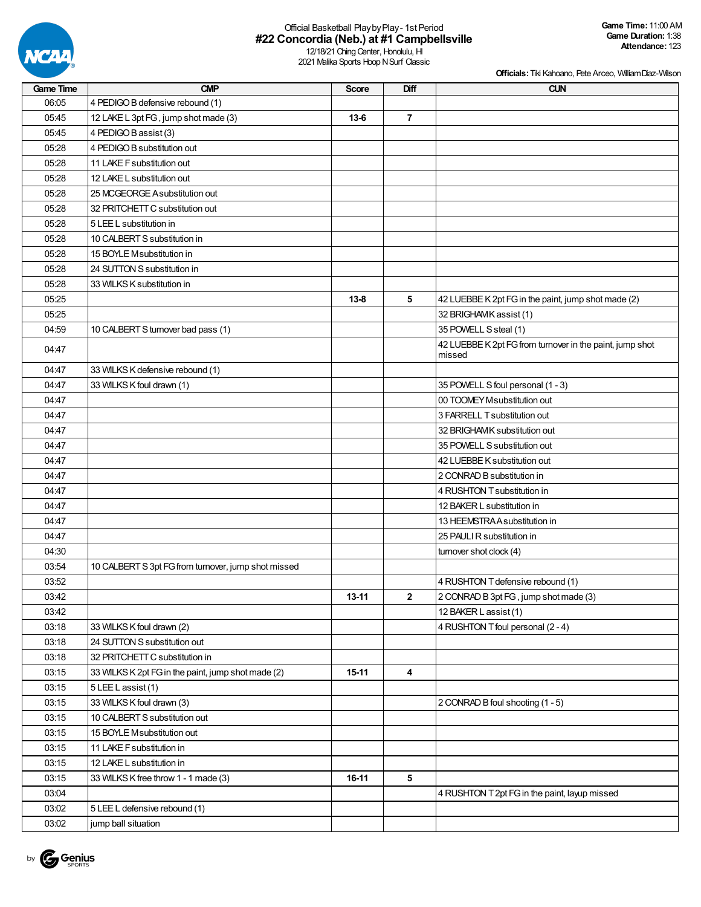

## Official Basketball PlaybyPlay- 1st Period **#22 Concordia (Neb.) at #1 Campbellsville**

12/18/21 Ching Center, Honolulu, HI 2021 Malika Sports Hoop N Surf Classic

|  |  | <b>Officials:</b> Tiki Kahoano, Pete Arceo, William Diaz-Wilson |
|--|--|-----------------------------------------------------------------|

| Game Time | <b>CMP</b>                                          | <b>Score</b> | Diff           | <b>CUN</b>                                               |
|-----------|-----------------------------------------------------|--------------|----------------|----------------------------------------------------------|
| 06:05     | 4 PEDIGO B defensive rebound (1)                    |              |                |                                                          |
| 05:45     | 12 LAKE L 3pt FG, jump shot made (3)                | $13-6$       | $\overline{7}$ |                                                          |
| 05:45     | 4 PEDIGO B assist (3)                               |              |                |                                                          |
| 05:28     | 4 PEDIGO B substitution out                         |              |                |                                                          |
| 05:28     | 11 LAKE F substitution out                          |              |                |                                                          |
| 05:28     | 12 LAKE L substitution out                          |              |                |                                                          |
| 05:28     | 25 MCGEORGE A substitution out                      |              |                |                                                          |
| 05:28     | 32 PRITCHETT C substitution out                     |              |                |                                                          |
| 05:28     | 5 LEE L substitution in                             |              |                |                                                          |
| 05:28     | 10 CALBERT S substitution in                        |              |                |                                                          |
| 05:28     | 15 BOYLE Msubstitution in                           |              |                |                                                          |
| 05:28     | 24 SUTTON S substitution in                         |              |                |                                                          |
| 05:28     | 33 WILKS K substitution in                          |              |                |                                                          |
| 05:25     |                                                     | $13 - 8$     | 5              | 42 LUEBBE K 2pt FG in the paint, jump shot made (2)      |
| 05:25     |                                                     |              |                | 32 BRIGHAMK assist (1)                                   |
| 04:59     | 10 CALBERT S turnover bad pass (1)                  |              |                | 35 POWELL S steal (1)                                    |
| 04:47     |                                                     |              |                | 42 LUEBBE K 2pt FG from turnover in the paint, jump shot |
|           |                                                     |              |                | missed                                                   |
| 04:47     | 33 WILKS K defensive rebound (1)                    |              |                |                                                          |
| 04:47     | 33 WILKS K foul drawn (1)                           |              |                | 35 POWELL S foul personal (1 - 3)                        |
| 04:47     |                                                     |              |                | 00 TOOMEY Msubstitution out                              |
| 04:47     |                                                     |              |                | 3 FARRELL T substitution out                             |
| 04:47     |                                                     |              |                | 32 BRIGHAMK substitution out                             |
| 04:47     |                                                     |              |                | 35 POWELL S substitution out                             |
| 04:47     |                                                     |              |                | 42 LUEBBE K substitution out                             |
| 04:47     |                                                     |              |                | 2 CONRAD B substitution in                               |
| 04:47     |                                                     |              |                | 4 RUSHTON T substitution in                              |
| 04:47     |                                                     |              |                | 12 BAKER L substitution in                               |
| 04:47     |                                                     |              |                | 13 HEEMSTRA A substitution in                            |
| 04:47     |                                                     |              |                | 25 PAULI R substitution in                               |
| 04:30     |                                                     |              |                | turnover shot clock (4)                                  |
| 03:54     | 10 CALBERT S 3pt FG from turnover, jump shot missed |              |                |                                                          |
| 03:52     |                                                     |              |                | 4 RUSHTON T defensive rebound (1)                        |
| 03:42     |                                                     | $13 - 11$    | $\mathbf{2}$   | 2 CONRAD B 3pt FG, jump shot made (3)                    |
| 03:42     |                                                     |              |                | 12 BAKER L assist (1)                                    |
| 03:18     | 33 WILKS K foul drawn (2)                           |              |                | 4 RUSHTON T foul personal (2 - 4)                        |
| 03:18     | 24 SUTTON S substitution out                        |              |                |                                                          |
| 03:18     | 32 PRITCHETT C substitution in                      |              |                |                                                          |
| 03:15     | 33 WILKS K 2pt FG in the paint, jump shot made (2)  | $15-11$      | 4              |                                                          |
| 03:15     | 5 LEE L assist (1)                                  |              |                |                                                          |
| 03:15     | 33 WILKS K foul drawn (3)                           |              |                | 2 CONRAD B foul shooting (1 - 5)                         |
| 03:15     | 10 CALBERT S substitution out                       |              |                |                                                          |
| 03:15     | 15 BOYLE Msubstitution out                          |              |                |                                                          |
| 03:15     | 11 LAKE F substitution in                           |              |                |                                                          |
| 03:15     | 12 LAKE L substitution in                           |              |                |                                                          |
| 03:15     | 33 WILKS K free throw 1 - 1 made (3)                | 16-11        | 5              |                                                          |
| 03:04     |                                                     |              |                | 4 RUSHTON T 2pt FG in the paint, layup missed            |
| 03:02     | 5 LEE L defensive rebound (1)                       |              |                |                                                          |
| 03:02     | jump ball situation                                 |              |                |                                                          |
|           |                                                     |              |                |                                                          |

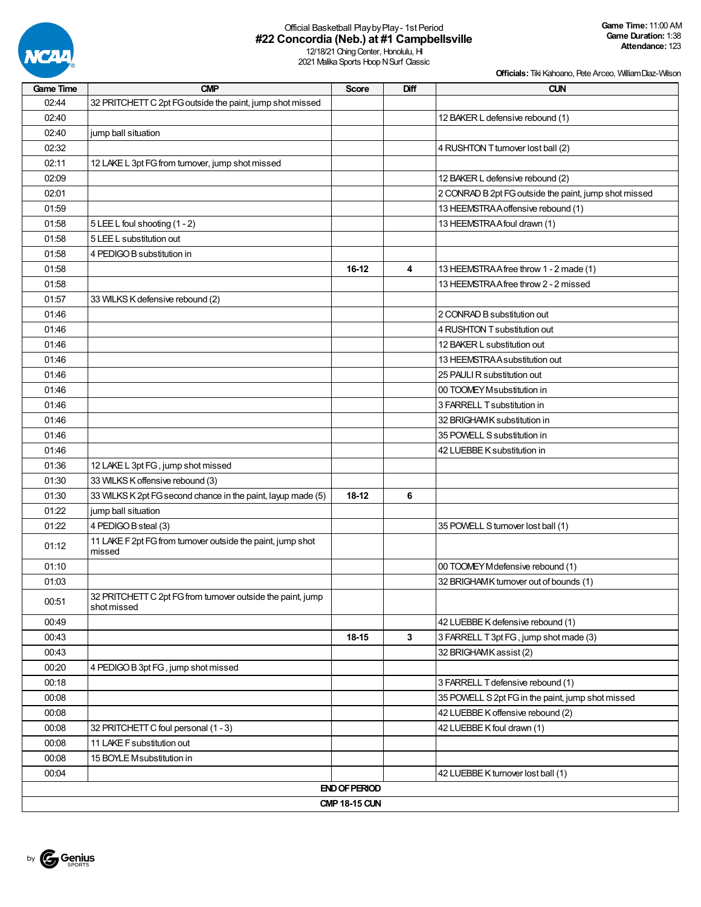

## Official Basketball PlaybyPlay- 1st Period **#22 Concordia (Neb.) at #1 Campbellsville**

12/18/21 Ching Center, Honolulu, HI 2021 Malika Sports Hoop N Surf Classic

| <b>Game Time</b> | <b>CMP</b>                                                                 | <b>Score</b>         | Diff | <b>CUN</b>                                            |
|------------------|----------------------------------------------------------------------------|----------------------|------|-------------------------------------------------------|
| 02:44            | 32 PRITCHETT C 2pt FG outside the paint, jump shot missed                  |                      |      |                                                       |
| 02:40            |                                                                            |                      |      | 12 BAKER L defensive rebound (1)                      |
| 02:40            | jump ball situation                                                        |                      |      |                                                       |
| 02:32            |                                                                            |                      |      | 4 RUSHTON T turnover lost ball (2)                    |
| 02:11            | 12 LAKE L 3pt FG from turnover, jump shot missed                           |                      |      |                                                       |
| 02:09            |                                                                            |                      |      | 12 BAKER L defensive rebound (2)                      |
| 02:01            |                                                                            |                      |      | 2 CONRAD B 2pt FG outside the paint, jump shot missed |
| 01:59            |                                                                            |                      |      | 13 HEEMSTRA A offensive rebound (1)                   |
| 01:58            | 5 LEE L foul shooting (1 - 2)                                              |                      |      | 13 HEEMSTRA A foul drawn (1)                          |
| 01:58            | 5 LEE L substitution out                                                   |                      |      |                                                       |
| 01:58            | 4 PEDIGO B substitution in                                                 |                      |      |                                                       |
| 01:58            |                                                                            | 16-12                | 4    | 13 HEEMSTRAA free throw 1 - 2 made (1)                |
| 01:58            |                                                                            |                      |      | 13 HEEMSTRA A free throw 2 - 2 missed                 |
| 01:57            | 33 WILKS K defensive rebound (2)                                           |                      |      |                                                       |
| 01:46            |                                                                            |                      |      | 2 CONRAD B substitution out                           |
| 01:46            |                                                                            |                      |      | 4 RUSHTON T substitution out                          |
| 01:46            |                                                                            |                      |      | 12 BAKER L substitution out                           |
| 01:46            |                                                                            |                      |      | 13 HEEMSTRA A substitution out                        |
| 01:46            |                                                                            |                      |      | 25 PAULI R substitution out                           |
| 01:46            |                                                                            |                      |      | 00 TOOMEY Msubstitution in                            |
| 01:46            |                                                                            |                      |      | 3 FARRELL T substitution in                           |
| 01:46            |                                                                            |                      |      | 32 BRIGHAMK substitution in                           |
| 01:46            |                                                                            |                      |      | 35 POWELL S substitution in                           |
| 01:46            |                                                                            |                      |      | 42 LUEBBE K substitution in                           |
| 01:36            | 12 LAKE L 3pt FG, jump shot missed                                         |                      |      |                                                       |
| 01:30            | 33 WILKS K offensive rebound (3)                                           |                      |      |                                                       |
| 01:30            | 33 WILKS K 2pt FG second chance in the paint, layup made (5)               | 18-12                | 6    |                                                       |
| 01:22            | jump ball situation                                                        |                      |      |                                                       |
| 01:22            | 4 PEDIGO B steal (3)                                                       |                      |      | 35 POWELL S turnover lost ball (1)                    |
| 01:12            | 11 LAKE F 2pt FG from turnover outside the paint, jump shot<br>missed      |                      |      |                                                       |
| 01:10            |                                                                            |                      |      | 00 TOOMEY M defensive rebound (1)                     |
| 01:03            |                                                                            |                      |      | 32 BRIGHAMK turnover out of bounds (1)                |
| 00:51            | 32 PRITCHETT C 2pt FG from turnover outside the paint, jump<br>shot missed |                      |      |                                                       |
| 00:49            |                                                                            |                      |      | 42 LUEBBE K defensive rebound (1)                     |
| 00:43            |                                                                            | 18-15                | 3    | 3 FARRELL T 3pt FG, jump shot made (3)                |
| 00:43            |                                                                            |                      |      | 32 BRIGHAMK assist (2)                                |
| 00:20            | 4 PEDIGO B 3pt FG, jump shot missed                                        |                      |      |                                                       |
| 00:18            |                                                                            |                      |      | 3 FARRELL T defensive rebound (1)                     |
| 00:08            |                                                                            |                      |      | 35 POWELL S 2pt FG in the paint, jump shot missed     |
| 00:08            |                                                                            |                      |      | 42 LUEBBE K offensive rebound (2)                     |
| 00:08            | 32 PRITCHETT C foul personal (1 - 3)                                       |                      |      | 42 LUEBBE K foul drawn (1)                            |
| 00:08            | 11 LAKE F substitution out                                                 |                      |      |                                                       |
| 00:08            | 15 BOYLE Msubstitution in                                                  |                      |      |                                                       |
| 00:04            |                                                                            |                      |      | 42 LUEBBE K turnover lost ball (1)                    |
|                  |                                                                            | <b>END OF PERIOD</b> |      |                                                       |
|                  |                                                                            | <b>CMP 18-15 CUN</b> |      |                                                       |

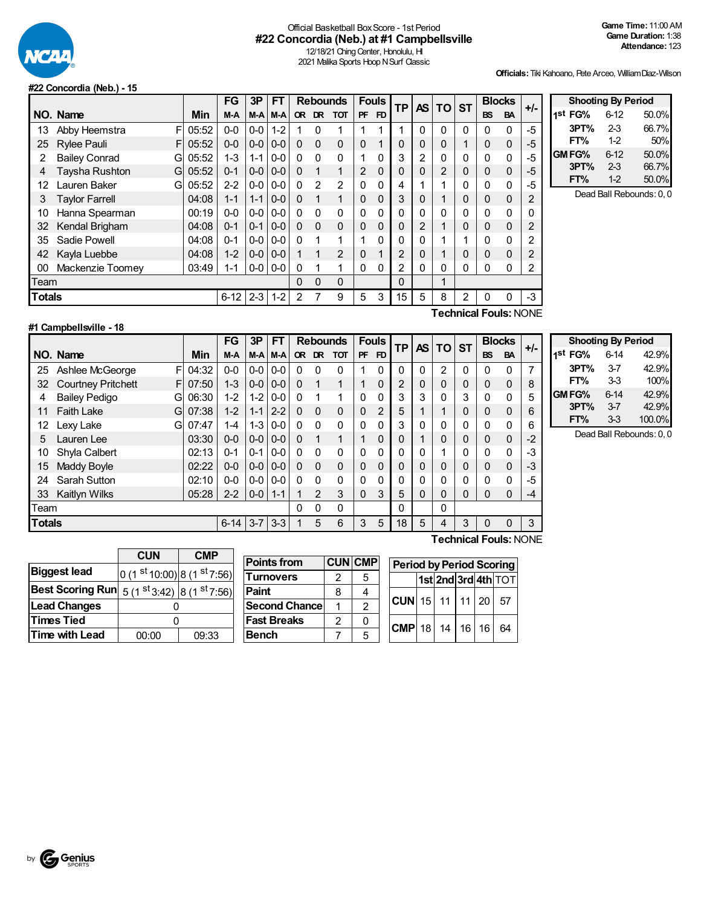

### Official Basketball BoxScore - 1st Period **#22 Concordia (Neb.) at #1 Campbellsville**

12/18/21 Ching Center, Honolulu, HI 2021 Malika Sports Hoop N Surf Classic

**Officials:**Tiki Kahoano, Pete Arceo, WilliamDiaz-Wilson

#### **#22 Concordia (Neb.) - 15**

|               |                           |          | FG      | 3P           | FT       |           | <b>Rebounds</b> |               | <b>Fouls</b>   |             | <b>TP</b>      | AS.            | TO                      | <b>ST</b> | <b>Blocks</b> |           | +/-            |
|---------------|---------------------------|----------|---------|--------------|----------|-----------|-----------------|---------------|----------------|-------------|----------------|----------------|-------------------------|-----------|---------------|-----------|----------------|
|               | NO. Name                  | Min      | M-A     | M-A          | $M-A$    | <b>OR</b> | <b>DR</b>       | <b>TOT</b>    | <b>PF</b>      | FD          |                |                |                         |           | <b>BS</b>     | <b>BA</b> |                |
| 13            | F<br>Abby Heemstra        | 05:52    | $0-0$   | $0-0$        | $1 - 2$  |           | 0               |               |                | 1           |                | 0              | $\Omega$                | 0         | $\Omega$      | 0         | -5             |
| 25            | F<br><b>Rylee Pauli</b>   | 05:52    | $0 - 0$ | $0-0$        | $0 - 0$  | $\Omega$  | 0               | $\Omega$      | $\Omega$       | 1           | 0              | 0              | 0                       |           | $\mathbf{0}$  | $\Omega$  | $-5$           |
| 2             | <b>Bailey Conrad</b><br>G | 05:52    | $1 - 3$ | $1 - 1$      | $0 - 0$  | $\Omega$  | $\Omega$        | $\mathbf{0}$  |                | 0           | 3              | $\overline{2}$ | 0                       | 0         | $\Omega$      | O         | -5             |
| 4             | Taysha Rushton<br>G       | 05:52    | $0 - 1$ | $0 - 0$      | $0-0$    | $\Omega$  | 1               | 1             | $\overline{2}$ | 0           | 0              | 0              | 2                       | 0         | $\mathbf{0}$  | 0         | -5             |
| 12            | Lauren Baker<br>G         | 05:52    | $2 - 2$ | $0-0$        | $0-0$    | $\Omega$  | $\mathfrak{p}$  | $\mathcal{P}$ | 0              | 0           | 4              | 1              | 4                       | 0         | $\mathbf{0}$  | 0         | -5             |
| 3             | <b>Taylor Farrell</b>     | 04:08    | $1 - 1$ | $1 - 1$      | $0-0$    | $\Omega$  | 1               | $\mathbf 1$   | $\Omega$       | $\Omega$    | 3              | 0              | $\overline{\mathbf{A}}$ | 0         | $\mathbf{0}$  | 0         | $\overline{c}$ |
| 10            | Hanna Spearman            | 00:19    | $0 - 0$ | $0-0$        | $0-0$    | $\Omega$  | $\Omega$        | $\Omega$      | 0              | 0           | 0              | 0              | 0                       | 0         | $\Omega$      | 0         | 0              |
| 32            | Kendal Brigham            | 04:08    | $0 - 1$ | $0 - 1$      | $0 - 0$  | $\Omega$  | $\Omega$        | $\Omega$      | $\Omega$       | $\mathbf 0$ | 0              | $\overline{2}$ | 1                       | 0         | $\mathbf{0}$  | 0         | $\overline{2}$ |
| 35            | Sadie Powell              | 04:08    | $0 - 1$ | $0-0$        | $0-0$    | $\Omega$  | 1               | 1             |                | 0           | 0              | 0              | 4                       |           | $\Omega$      | 0         | 2              |
| 42            | Kayla Luebbe              | 04:08    | $1 - 2$ | $0-0$        | $0-0$    |           | 1               | 2             | $\Omega$       | 1           | $\overline{2}$ | $\mathbf 0$    | 1                       | 0         | $\Omega$      | 0         | $\overline{2}$ |
| 00            | Mackenzie Toomey          | 03:49    | 1-1     | $0-0$        | $0-0$    | $\Omega$  |                 | 1             | 0              | 0           | 2              | 0              | 0                       | 0         | $\Omega$      | 0         | 2              |
| Team          |                           |          | 0       | $\mathbf{0}$ | $\Omega$ |           |                 | 0             |                | 1           |                |                |                         |           |               |           |                |
| <b>Totals</b> |                           | $6 - 12$ | $2 - 3$ | $1 - 2$      | 2        |           | 9               | 5             | 3              | 15          | 5              | 8              | 2                       | $\Omega$  | 0             | -3        |                |

| <b>Shooting By Period</b> |          |       |  |  |  |  |  |  |  |  |  |  |  |
|---------------------------|----------|-------|--|--|--|--|--|--|--|--|--|--|--|
| 1st FG%                   | $6 - 12$ | 50.0% |  |  |  |  |  |  |  |  |  |  |  |
| 3PT%                      | $2-3$    | 66.7% |  |  |  |  |  |  |  |  |  |  |  |
| FT%                       | 1-2      | 50%   |  |  |  |  |  |  |  |  |  |  |  |
| GM FG%                    | $6 - 12$ | 50.0% |  |  |  |  |  |  |  |  |  |  |  |
| 3PT%                      | $2 - 3$  | 66.7% |  |  |  |  |  |  |  |  |  |  |  |
| FT%                       | $1-2$    | 50.0% |  |  |  |  |  |  |  |  |  |  |  |

Dead Ball Rebounds: 0, 0

#### **#1 Campbellsville - 18**

**Technical Fouls:**NONE

|               |                                |       | FG       | 3P      | FT      |           | <b>Rebounds</b> |            | <b>Fouls</b> |    | <b>TP</b> | AS I | <b>TO</b> | <b>ST</b> | <b>Blocks</b> |           | $+/-$  |
|---------------|--------------------------------|-------|----------|---------|---------|-----------|-----------------|------------|--------------|----|-----------|------|-----------|-----------|---------------|-----------|--------|
|               | NO. Name                       | Min   | M-A      | M-A     | $M-A$   | <b>OR</b> | <b>DR</b>       | <b>TOT</b> | <b>PF</b>    | FD |           |      |           |           | <b>BS</b>     | <b>BA</b> |        |
| 25            | Ashlee McGeorge<br>F           | 04:32 | $0 - 0$  | $0-0$   | $0 - 0$ | $\Omega$  | $\Omega$        | 0          |              | 0  | $\Omega$  | 0    | 2         | 0         | $\mathbf{0}$  | 0         | 7      |
| 32            | <b>Courtney Pritchett</b><br>F | 07:50 | $1 - 3$  | $0-0$   | $0 - 0$ | $\Omega$  |                 | 1          |              | 0  | 2         | 0    | 0         | 0         | $\Omega$      | 0         | 8      |
| 4             | <b>Bailey Pedigo</b><br>G      | 06:30 | $1 - 2$  | $1 - 2$ | $0-0$   | 0         |                 | 1          | 0            | 0  | 3         | 3    | 0         | 3         | 0             | 0         | 5      |
| 11            | <b>Faith Lake</b><br>G         | 07:38 | $1 - 2$  | $1 - 1$ | $2 - 2$ | $\Omega$  | $\Omega$        | 0          | 0            | 2  | 5         |      |           | 0         | $\Omega$      | 0         | 6      |
| 12            | Lexy Lake<br>G                 | 07:47 | $1 - 4$  | $1 - 3$ | $0-0$   | 0         | $\Omega$        | 0          | $\Omega$     | 0  | 3         | 0    | 0         | 0         | $\Omega$      | 0         | 6      |
| 5             | Lauren Lee                     | 03:30 | $0 - 0$  | $0 - 0$ | $0 - 0$ | $\Omega$  | 1               | 1          |              | 0  | 0         |      | 0         | 0         | $\mathbf{0}$  | 0         | $-2$   |
| 10            | Shyla Calbert                  | 02:13 | $0 - 1$  | $0 - 1$ | $0-0$   | 0         | $\Omega$        | 0          | $\Omega$     | 0  | 0         | 0    |           | 0         | $\Omega$      | 0         | -3     |
| 15            | Maddy Boyle                    | 02:22 | $0 - 0$  | $0-0$   | $0-0$   | $\Omega$  | $\Omega$        | 0          | 0            | 0  | 0         | 0    | 0         | 0         | $\Omega$      | $\Omega$  | $-3$   |
| 24            | Sarah Sutton                   | 02:10 | $0 - 0$  | $0-0$   | $0-0$   | $\Omega$  | $\Omega$        | 0          | 0            | 0  | 0         | 0    | 0         | 0         | 0             | $\Omega$  | -5     |
| 33            | Kaitlyn Wilks                  | 05:28 | $2 - 2$  | $0 - 0$ | $1 - 1$ |           | 2               | 3          | $\Omega$     | 3  | 5         | 0    | 0         | 0         | $\Omega$      | 0         | -4     |
| Team          |                                |       |          |         |         | 0         | $\Omega$        | 0          |              |    | 0         |      | 0         |           |               |           |        |
| <b>Totals</b> |                                |       | $6 - 14$ | $3 - 7$ | $3-3$   |           | 5               | 6          | 3            | 5  | 18        | 5    | 4         | 3         | $\Omega$      | $\Omega$  | 3      |
|               |                                |       |          |         |         |           |                 |            |              |    |           |      | -         |           | -             |           | $\sim$ |

| <b>Shooting By Period</b> |          |        |  |  |  |  |
|---------------------------|----------|--------|--|--|--|--|
| 1st FG%                   | 6-14     | 42.9%  |  |  |  |  |
| 3PT%                      | 37       | 42.9%  |  |  |  |  |
| FT%                       | 33       | 100%   |  |  |  |  |
| GM FG%                    | $6 - 14$ | 42.9%  |  |  |  |  |
| 3PT%                      | $3 - 7$  | 42.9%  |  |  |  |  |
| FT%                       | 33       | 100.0% |  |  |  |  |

Dead Ball Rebounds: 0, 0

|                         | <b>CUN</b>                            |       |
|-------------------------|---------------------------------------|-------|
| <b>Biggest lead</b>     | 0 (1 st 10:00) 8 (1 st 7:56)          |       |
| <b>Best Scoring Run</b> | $5(1st3:42)$ 8 (1 <sup>st</sup> 7:56) |       |
| <b>Lead Changes</b>     |                                       |       |
| <b>Times Tied</b>       |                                       |       |
| Time with Lead          | 00:00                                 | 09:33 |

| <b>Points from</b>   |   | <b>CUN CMP</b> |
|----------------------|---|----------------|
| <b>Turnovers</b>     | 2 | 5              |
| Paint                | 8 |                |
| <b>Second Chance</b> |   | 2              |
| <b>Fast Breaks</b>   | 2 | 0              |
| Bench                |   | г,             |

| <b>Period by Period Scoring</b> |  |  |  |  |                     |  |  |  |  |
|---------------------------------|--|--|--|--|---------------------|--|--|--|--|
|                                 |  |  |  |  | 1st 2nd 3rd 4th TOT |  |  |  |  |
| $ CUN $ 15   11   11   20   57  |  |  |  |  |                     |  |  |  |  |
| $ $ CMP 18 14 16 16 64          |  |  |  |  |                     |  |  |  |  |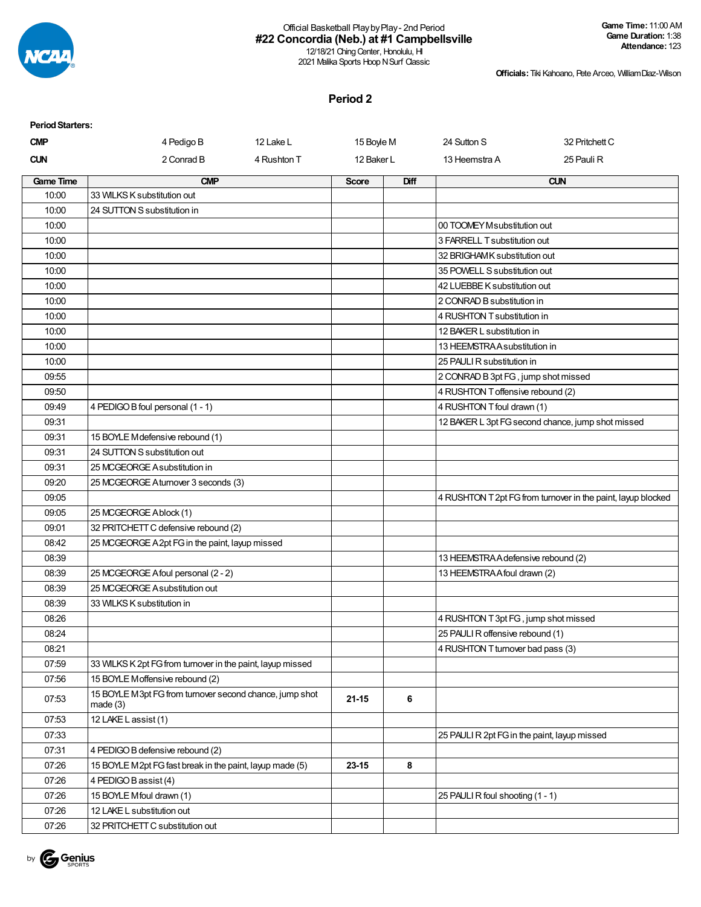

## Official Basketball PlaybyPlay- 2nd Period **#22 Concordia (Neb.) at #1 Campbellsville**

12/18/21 Ching Center, Honolulu, HI 2021 Malika Sports Hoop N Surf Classic

**Officials:**Tiki Kahoano, Pete Arceo, WilliamDiaz-Wilson

**Period 2**

| <b>Period Starters:</b> |                                                                    |             |              |      |                                              |                                                              |
|-------------------------|--------------------------------------------------------------------|-------------|--------------|------|----------------------------------------------|--------------------------------------------------------------|
| <b>CMP</b>              | 4 Pedigo B                                                         | 12 Lake L   | 15 Boyle M   |      | 24 Sutton S                                  | 32 Pritchett C                                               |
| <b>CUN</b>              | 2 Conrad B                                                         | 4 Rushton T | 12 Baker L   |      | 13 Heemstra A                                | 25 Pauli R                                                   |
| <b>Game Time</b>        | <b>CMP</b>                                                         |             | <b>Score</b> | Diff |                                              | <b>CUN</b>                                                   |
| 10:00                   | 33 WILKS K substitution out                                        |             |              |      |                                              |                                                              |
| 10:00                   | 24 SUTTON S substitution in                                        |             |              |      |                                              |                                                              |
| 10:00                   |                                                                    |             |              |      | 00 TOOMEY M substitution out                 |                                                              |
| 10:00                   |                                                                    |             |              |      | 3 FARRELL T substitution out                 |                                                              |
| 10:00                   |                                                                    |             |              |      | 32 BRIGHAMK substitution out                 |                                                              |
| 10:00                   |                                                                    |             |              |      | 35 POWELL S substitution out                 |                                                              |
| 10:00                   |                                                                    |             |              |      | 42 LUEBBE K substitution out                 |                                                              |
| 10:00                   |                                                                    |             |              |      | 2 CONRAD B substitution in                   |                                                              |
| 10:00                   |                                                                    |             |              |      | 4 RUSHTON T substitution in                  |                                                              |
| 10:00                   |                                                                    |             |              |      | 12 BAKER L substitution in                   |                                                              |
| 10:00                   |                                                                    |             |              |      | 13 HEEMSTRA A substitution in                |                                                              |
| 10:00                   |                                                                    |             |              |      | 25 PAULI R substitution in                   |                                                              |
| 09:55                   |                                                                    |             |              |      | 2 CONRAD B 3pt FG, jump shot missed          |                                                              |
| 09:50                   |                                                                    |             |              |      | 4 RUSHTON T offensive rebound (2)            |                                                              |
| 09:49                   | 4 PEDIGO B foul personal (1 - 1)                                   |             |              |      | 4 RUSHTON T foul drawn (1)                   |                                                              |
| 09:31                   |                                                                    |             |              |      |                                              | 12 BAKER L 3pt FG second chance, jump shot missed            |
| 09:31                   | 15 BOYLE M defensive rebound (1)                                   |             |              |      |                                              |                                                              |
| 09:31                   | 24 SUTTON S substitution out                                       |             |              |      |                                              |                                                              |
| 09:31                   | 25 MCGEORGE A substitution in                                      |             |              |      |                                              |                                                              |
| 09:20                   | 25 MCGEORGE Aturnover 3 seconds (3)                                |             |              |      |                                              |                                                              |
| 09:05                   |                                                                    |             |              |      |                                              | 4 RUSHTON T 2pt FG from turnover in the paint, layup blocked |
| 09:05                   | 25 MCGEORGE Ablock (1)                                             |             |              |      |                                              |                                                              |
| 09:01                   | 32 PRITCHETT C defensive rebound (2)                               |             |              |      |                                              |                                                              |
| 08:42                   | 25 MCGEORGE A 2pt FG in the paint, layup missed                    |             |              |      |                                              |                                                              |
| 08:39                   |                                                                    |             |              |      | 13 HEEMSTRA A defensive rebound (2)          |                                                              |
| 08:39                   | 25 MCGEORGE A foul personal (2 - 2)                                |             |              |      | 13 HEEMSTRA A foul drawn (2)                 |                                                              |
| 08:39                   | 25 MCGEORGE A substitution out                                     |             |              |      |                                              |                                                              |
| 08:39                   | 33 WILKS K substitution in                                         |             |              |      |                                              |                                                              |
| 08:26                   |                                                                    |             |              |      | 4 RUSHTON T 3pt FG, jump shot missed         |                                                              |
| 08:24                   |                                                                    |             |              |      | 25 PAULI R offensive rebound (1)             |                                                              |
| 08:21                   |                                                                    |             |              |      | 4 RUSHTON T turnover bad pass (3)            |                                                              |
| 07:59                   | 33 WILKS K 2pt FG from turnover in the paint, layup missed         |             |              |      |                                              |                                                              |
| 07:56                   | 15 BOYLE Moffensive rebound (2)                                    |             |              |      |                                              |                                                              |
| 07:53                   | 15 BOYLE M3pt FG from turnover second chance, jump shot<br>made(3) |             | $21 - 15$    | 6    |                                              |                                                              |
| 07:53                   | 12 LAKE L assist (1)                                               |             |              |      |                                              |                                                              |
| 07:33                   |                                                                    |             |              |      | 25 PAULI R 2pt FG in the paint, layup missed |                                                              |
| 07:31                   | 4 PEDIGO B defensive rebound (2)                                   |             |              |      |                                              |                                                              |
| 07:26                   | 15 BOYLE M2pt FG fast break in the paint, layup made (5)           |             | 23-15        | 8    |                                              |                                                              |
| 07:26                   | 4 PEDIGO B assist (4)                                              |             |              |      |                                              |                                                              |
| 07:26                   | 15 BOYLE Mfoul drawn (1)                                           |             |              |      | 25 PAULI R foul shooting (1 - 1)             |                                                              |
| 07:26                   | 12 LAKE L substitution out                                         |             |              |      |                                              |                                                              |
| 07:26                   | 32 PRITCHETT C substitution out                                    |             |              |      |                                              |                                                              |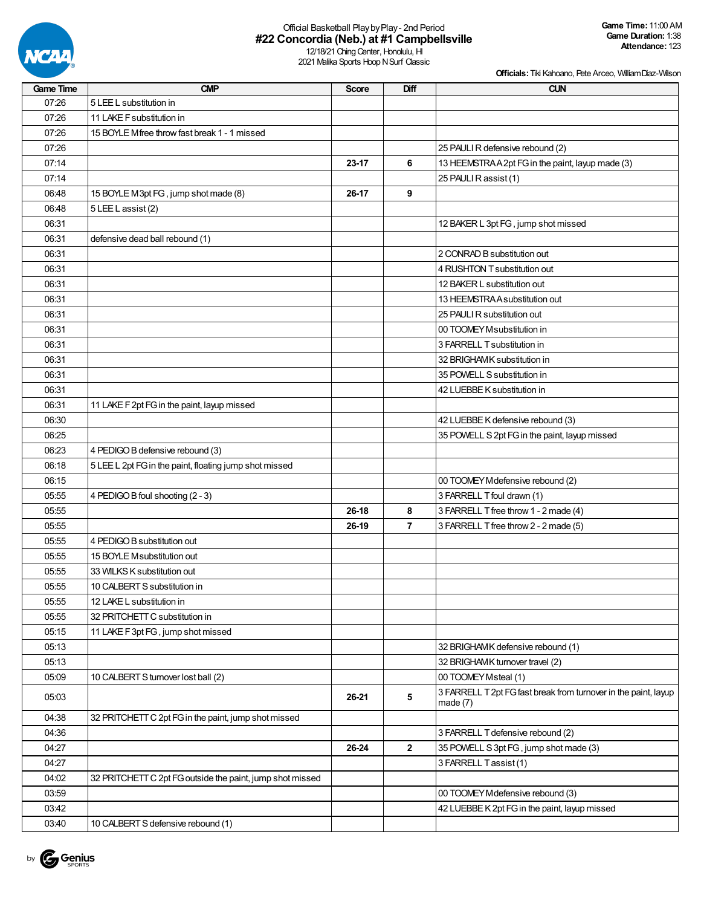

# Official Basketball PlaybyPlay- 2nd Period **#22 Concordia (Neb.) at #1 Campbellsville**

12/18/21 Ching Center, Honolulu, HI 2021 Malika Sports Hoop N Surf Classic

| <b>Game Time</b> | <b>CMP</b>                                                | <b>Score</b> | Diff           | <b>CUN</b>                                                      |
|------------------|-----------------------------------------------------------|--------------|----------------|-----------------------------------------------------------------|
| 07:26            | 5 LEE L substitution in                                   |              |                |                                                                 |
| 07:26            | 11 LAKE F substitution in                                 |              |                |                                                                 |
| 07:26            | 15 BOYLE Mfree throw fast break 1 - 1 missed              |              |                |                                                                 |
| 07:26            |                                                           |              |                | 25 PAULI R defensive rebound (2)                                |
| 07:14            |                                                           | 23-17        | 6              | 13 HEEMSTRAA2pt FG in the paint, layup made (3)                 |
| 07:14            |                                                           |              |                | 25 PAULI R assist (1)                                           |
| 06:48            | 15 BOYLE M3pt FG, jump shot made (8)                      | 26-17        | 9              |                                                                 |
| 06:48            | 5 LEE L assist (2)                                        |              |                |                                                                 |
| 06:31            |                                                           |              |                | 12 BAKER L 3pt FG, jump shot missed                             |
| 06:31            | defensive dead ball rebound (1)                           |              |                |                                                                 |
| 06:31            |                                                           |              |                | 2 CONRAD B substitution out                                     |
| 06:31            |                                                           |              |                | 4 RUSHTON T substitution out                                    |
| 06:31            |                                                           |              |                | 12 BAKER L substitution out                                     |
| 06:31            |                                                           |              |                | 13 HEEMSTRA A substitution out                                  |
| 06:31            |                                                           |              |                | 25 PAULI R substitution out                                     |
|                  |                                                           |              |                |                                                                 |
| 06:31            |                                                           |              |                | 00 TOOMEY Msubstitution in                                      |
| 06:31            |                                                           |              |                | 3 FARRELL T substitution in                                     |
| 06:31            |                                                           |              |                | 32 BRIGHAMK substitution in                                     |
| 06:31            |                                                           |              |                | 35 POWELL S substitution in                                     |
| 06:31            |                                                           |              |                | 42 LUEBBE K substitution in                                     |
| 06:31            | 11 LAKE F 2pt FG in the paint, layup missed               |              |                |                                                                 |
| 06:30            |                                                           |              |                | 42 LUEBBE K defensive rebound (3)                               |
| 06:25            |                                                           |              |                | 35 POWELL S 2pt FG in the paint, layup missed                   |
| 06:23            | 4 PEDIGO B defensive rebound (3)                          |              |                |                                                                 |
| 06:18            | 5 LEE L 2pt FG in the paint, floating jump shot missed    |              |                |                                                                 |
| 06:15            |                                                           |              |                | 00 TOOMEY M defensive rebound (2)                               |
| 05:55            | 4 PEDIGO B foul shooting (2 - 3)                          |              |                | 3 FARRELL T foul drawn (1)                                      |
| 05:55            |                                                           | 26-18        | 8              | 3 FARRELL T free throw 1 - 2 made (4)                           |
| 05:55            |                                                           | 26-19        | $\overline{7}$ | 3 FARRELL T free throw 2 - 2 made (5)                           |
| 05:55            | 4 PEDIGO B substitution out                               |              |                |                                                                 |
| 05:55            | 15 BOYLE Msubstitution out                                |              |                |                                                                 |
| 05:55            | 33 WILKS K substitution out                               |              |                |                                                                 |
| 05:55            | 10 CALBERT S substitution in                              |              |                |                                                                 |
| 05:55            | 12 LAKE L substitution in                                 |              |                |                                                                 |
| 05:55            | 32 PRITCHETT C substitution in                            |              |                |                                                                 |
| 05:15            | 11 LAKE F 3pt FG, jump shot missed                        |              |                |                                                                 |
| 05:13            |                                                           |              |                | 32 BRIGHAMK defensive rebound (1)                               |
| 05:13            |                                                           |              |                | 32 BRIGHAMK turnover travel (2)                                 |
| 05:09            | 10 CALBERT S turnover lost ball (2)                       |              |                | 00 TOOMEY Msteal (1)                                            |
|                  |                                                           |              |                | 3 FARRELL T 2pt FG fast break from turnover in the paint, layup |
| 05:03            |                                                           | 26-21        | 5              | made $(7)$                                                      |
| 04:38            | 32 PRITCHETT C 2pt FG in the paint, jump shot missed      |              |                |                                                                 |
| 04:36            |                                                           |              |                | 3 FARRELL T defensive rebound (2)                               |
| 04:27            |                                                           | 26-24        | $\mathbf{2}$   | 35 POWELL S 3pt FG, jump shot made (3)                          |
| 04:27            |                                                           |              |                | 3 FARRELL Tassist (1)                                           |
| 04:02            | 32 PRITCHETT C 2pt FG outside the paint, jump shot missed |              |                |                                                                 |
| 03:59            |                                                           |              |                | 00 TOOMEY M defensive rebound (3)                               |
| 03:42            |                                                           |              |                | 42 LUEBBE K 2pt FG in the paint, layup missed                   |
| 03:40            | 10 CALBERT S defensive rebound (1)                        |              |                |                                                                 |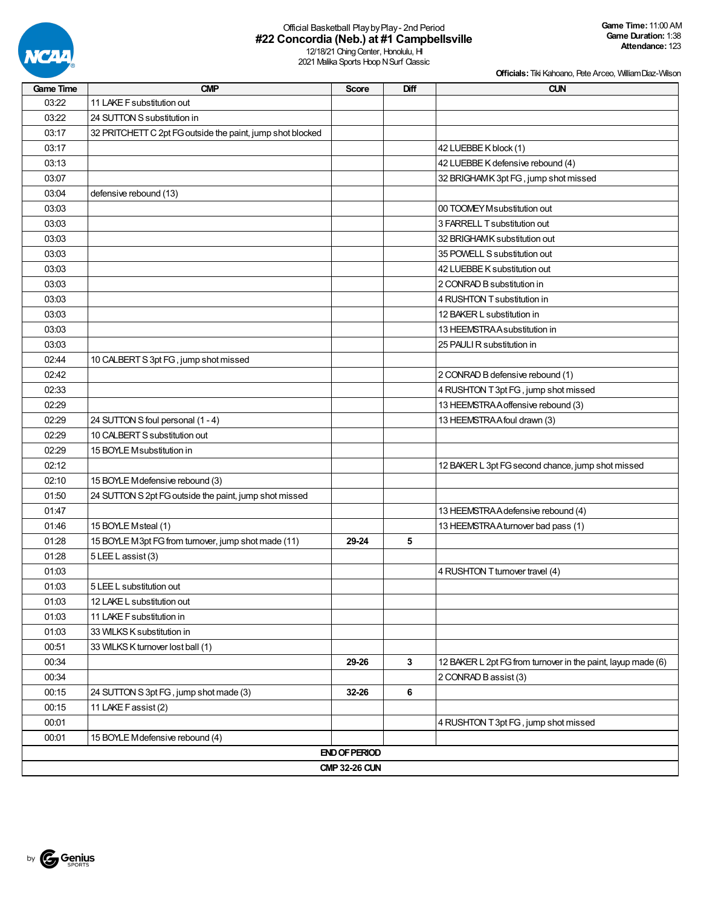

# Official Basketball PlaybyPlay- 2nd Period **#22 Concordia (Neb.) at #1 Campbellsville**

12/18/21 Ching Center, Honolulu, HI 2021 Malika Sports Hoop N Surf Classic

| <b>Game Time</b> | <b>CMP</b>                                                 | <b>Score</b>         | Diff | <b>CUN</b>                                                   |  |  |  |  |  |
|------------------|------------------------------------------------------------|----------------------|------|--------------------------------------------------------------|--|--|--|--|--|
| 03:22            | 11 LAKE F substitution out                                 |                      |      |                                                              |  |  |  |  |  |
| 03:22            | 24 SUTTON S substitution in                                |                      |      |                                                              |  |  |  |  |  |
| 03:17            | 32 PRITCHETT C 2pt FG outside the paint, jump shot blocked |                      |      |                                                              |  |  |  |  |  |
| 03:17            |                                                            |                      |      | 42 LUEBBE K block (1)                                        |  |  |  |  |  |
| 03:13            |                                                            |                      |      | 42 LUEBBE K defensive rebound (4)                            |  |  |  |  |  |
| 03:07            |                                                            |                      |      | 32 BRIGHAMK 3pt FG, jump shot missed                         |  |  |  |  |  |
| 03:04            | defensive rebound (13)                                     |                      |      |                                                              |  |  |  |  |  |
| 03:03            |                                                            |                      |      | 00 TOOMEY M substitution out                                 |  |  |  |  |  |
| 03:03            |                                                            |                      |      | 3 FARRELL T substitution out                                 |  |  |  |  |  |
| 03:03            |                                                            |                      |      | 32 BRIGHAMK substitution out                                 |  |  |  |  |  |
| 03:03            |                                                            |                      |      | 35 POWELL S substitution out                                 |  |  |  |  |  |
| 03:03            |                                                            |                      |      | 42 LUEBBE K substitution out                                 |  |  |  |  |  |
| 03:03            |                                                            |                      |      | 2 CONRAD B substitution in                                   |  |  |  |  |  |
| 03:03            |                                                            |                      |      | 4 RUSHTON T substitution in                                  |  |  |  |  |  |
| 03:03            |                                                            |                      |      | 12 BAKER L substitution in                                   |  |  |  |  |  |
| 03:03            |                                                            |                      |      | 13 HEEMSTRA A substitution in                                |  |  |  |  |  |
| 03:03            |                                                            |                      |      | 25 PAULI R substitution in                                   |  |  |  |  |  |
| 02:44            | 10 CALBERT S 3pt FG, jump shot missed                      |                      |      |                                                              |  |  |  |  |  |
| 02:42            |                                                            |                      |      | 2 CONRAD B defensive rebound (1)                             |  |  |  |  |  |
| 02:33            |                                                            |                      |      | 4 RUSHTON T 3pt FG, jump shot missed                         |  |  |  |  |  |
| 02:29            |                                                            |                      |      | 13 HEEMSTRA A offensive rebound (3)                          |  |  |  |  |  |
| 02:29            | 24 SUTTON S foul personal (1 - 4)                          |                      |      | 13 HEEMSTRA A foul drawn (3)                                 |  |  |  |  |  |
| 02:29            | 10 CALBERT S substitution out                              |                      |      |                                                              |  |  |  |  |  |
| 02:29            | 15 BOYLE Msubstitution in                                  |                      |      |                                                              |  |  |  |  |  |
| 02:12            |                                                            |                      |      | 12 BAKER L 3pt FG second chance, jump shot missed            |  |  |  |  |  |
| 02:10            | 15 BOYLE M defensive rebound (3)                           |                      |      |                                                              |  |  |  |  |  |
| 01:50            | 24 SUTTON S 2pt FG outside the paint, jump shot missed     |                      |      |                                                              |  |  |  |  |  |
| 01:47            |                                                            |                      |      | 13 HEEMSTRA A defensive rebound (4)                          |  |  |  |  |  |
| 01:46            | 15 BOYLE Msteal (1)                                        |                      |      | 13 HEEMSTRA A turnover bad pass (1)                          |  |  |  |  |  |
| 01:28            | 15 BOYLE M3pt FG from turnover, jump shot made (11)        | 29-24                | 5    |                                                              |  |  |  |  |  |
| 01:28            | 5 LEE L assist (3)                                         |                      |      |                                                              |  |  |  |  |  |
| 01:03            |                                                            |                      |      | 4 RUSHTON T turnover travel (4)                              |  |  |  |  |  |
| 01:03            | 5 LEE L substitution out                                   |                      |      |                                                              |  |  |  |  |  |
| 01:03            | 12 LAKE L substitution out                                 |                      |      |                                                              |  |  |  |  |  |
| 01:03            | 11 LAKE F substitution in                                  |                      |      |                                                              |  |  |  |  |  |
| 01:03            | 33 WILKS K substitution in                                 |                      |      |                                                              |  |  |  |  |  |
| 00:51            | 33 WILKS K turnover lost ball (1)                          |                      |      |                                                              |  |  |  |  |  |
| 00:34            |                                                            | 29-26                | 3    | 12 BAKER L 2pt FG from turnover in the paint, layup made (6) |  |  |  |  |  |
| 00:34            |                                                            |                      |      | 2 CONRAD B assist (3)                                        |  |  |  |  |  |
| 00:15            | 24 SUTTON S 3pt FG, jump shot made (3)                     | 32-26                | 6    |                                                              |  |  |  |  |  |
| 00:15            | 11 LAKE F assist (2)                                       |                      |      |                                                              |  |  |  |  |  |
| 00:01            |                                                            |                      |      | 4 RUSHTON T 3pt FG, jump shot missed                         |  |  |  |  |  |
| 00:01            | 15 BOYLE Mdefensive rebound (4)                            |                      |      |                                                              |  |  |  |  |  |
|                  |                                                            | <b>END OF PERIOD</b> |      |                                                              |  |  |  |  |  |
|                  | <b>CMP 32-26 CUN</b>                                       |                      |      |                                                              |  |  |  |  |  |

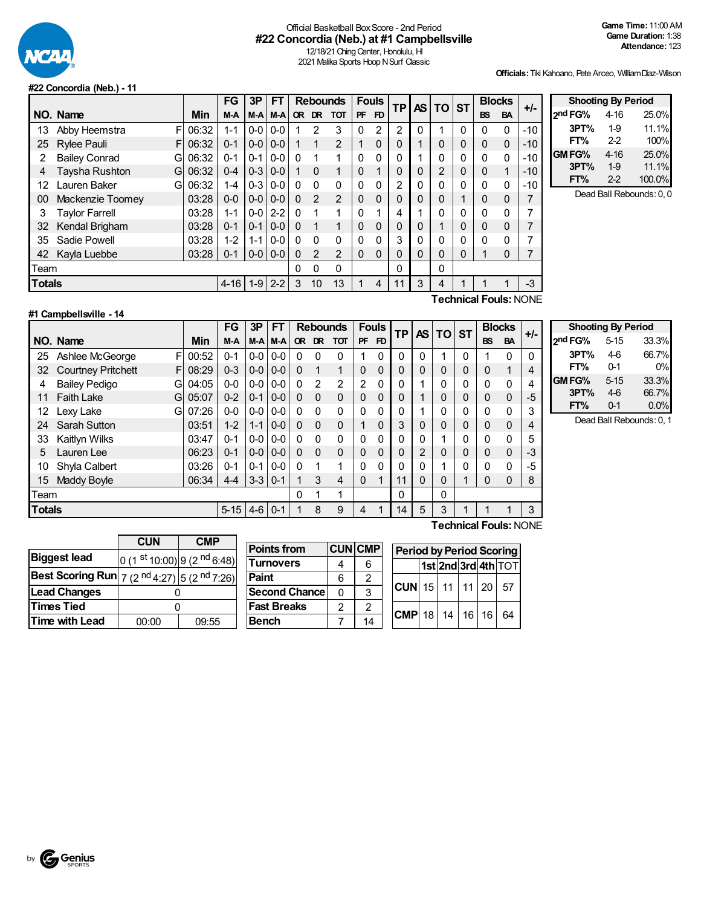

### Official Basketball BoxScore - 2nd Period **#22 Concordia (Neb.) at #1 Campbellsville**

12/18/21 Ching Center, Honolulu, HI 2021 Malika Sports Hoop N Surf Classic

**Officials:**Tiki Kahoano, Pete Arceo, WilliamDiaz-Wilson

#### **#22 Concordia (Neb.) - 11**

|               |                           |            | <b>FG</b> | 3P      | <b>FT</b> |           |                | <b>Rebounds</b> |              | <b>Fouls</b>   | <b>TP</b> | <b>AS</b>    | <b>TO ST</b> |   | <b>Blocks</b> |             | +/-   |
|---------------|---------------------------|------------|-----------|---------|-----------|-----------|----------------|-----------------|--------------|----------------|-----------|--------------|--------------|---|---------------|-------------|-------|
|               | NO. Name                  | <b>Min</b> | M-A       | M-A     | M-A       | <b>OR</b> | <b>DR</b>      | <b>TOT</b>      | PF           | F <sub>D</sub> |           |              |              |   | <b>BS</b>     | <b>BA</b>   |       |
| 13            | F<br>Abby Heemstra        | 06:32      | $1 - 1$   | $0-0$   | $0-0$     |           | 2              | 3               | $\mathbf{0}$ | 2              | 2         | 0            |              | 0 | $\mathbf{0}$  | 0           | $-10$ |
| 25            | <b>Rylee Pauli</b><br>F   | 06:32      | $0 - 1$   | $0-0$   | $0-0$     |           |                | 2               | 1            | 0              | 0         | 1            | 0            | 0 | $\Omega$      | $\Omega$    | $-10$ |
| 2             | <b>Bailey Conrad</b><br>G | 06:32      | $0 - 1$   | $0 - 1$ | $0-0$     | $\Omega$  |                | 1               | $\Omega$     | $\Omega$       | 0         | 1            | 0            | 0 | 0             | 0           | -10   |
| 4             | Taysha Rushton<br>G       | 06:32      | $0 - 4$   | $0-3$   | $0-0$     | 1         | $\Omega$       | 1               | $\Omega$     | 1              | 0         | $\mathbf 0$  | 2            | 0 | 0             | 1           | $-10$ |
| 12            | Lauren Baker<br>G         | 06:32      | $1 - 4$   | $0-3$   | $0-0$     | $\Omega$  | $\Omega$       | $\Omega$        | 0            | $\Omega$       | 2         | $\mathbf{0}$ | 0            | 0 | 0             | 0           | $-10$ |
| 00            | Mackenzie Toomey          | 03:28      | $0 - 0$   | $0 - 0$ | $0-0$     | $\Omega$  | $\mathfrak{p}$ | 2               | $\Omega$     | 0              | 0         | $\Omega$     | 0            | 1 | 0             | 0           | 7     |
| 3             | Taylor Farrell            | 03:28      | $1 - 1$   | $0-0$   | $2 - 2$   | $\Omega$  | 1              | 1               | $\Omega$     | 4              | 4         | 1            | 0            | 0 | 0             | 0           | 7     |
| 32            | Kendal Brigham            | 03:28      | $0 - 1$   | $0 - 1$ | $0-0$     | $\Omega$  |                | 1               | $\Omega$     | 0              | 0         | $\Omega$     |              | 0 | 0             | $\mathbf 0$ | 7     |
| 35            | Sadie Powell              | 03:28      | $1 - 2$   | $1 - 1$ | $0-0$     | $\Omega$  | $\Omega$       | $\mathbf{0}$    | $\Omega$     | $\Omega$       | 3         | $\mathbf{0}$ | 0            | 0 | 0             | 0           | 7     |
| 42            | Kayla Luebbe              | 03:28      | $0 - 1$   | $0-0$   | $0-0$     | $\Omega$  | $\mathfrak{p}$ | $\overline{2}$  | $\Omega$     | $\mathbf{0}$   | $\Omega$  | $\Omega$     | 0            | 0 | 1             | $\Omega$    | 7     |
| Team          |                           |            |           |         |           | 0         | $\Omega$       | 0               |              |                | 0         |              | 0            |   |               |             |       |
| <b>Totals</b> |                           |            | $4 - 16$  | $1-9$   | $2 - 2$   | 3         | 10             | 13              |              | 4              | 11        | 3            | 4            |   |               |             | $-3$  |
|               | Technical Foule∙ NONE     |            |           |         |           |           |                |                 |              |                |           |              |              |   |               |             |       |

| <b>Shooting By Period</b> |          |        |  |  |  |  |
|---------------------------|----------|--------|--|--|--|--|
| 2 <sup>nd</sup> FG%       | $4 - 16$ | 25.0%  |  |  |  |  |
| 3PT%                      | $1-9$    | 11.1%  |  |  |  |  |
| FT%                       | $2-2$    | 100%   |  |  |  |  |
| GM FG%                    | $4-16$   | 25.0%  |  |  |  |  |
| 3PT%                      | $1-9$    | 11.1%  |  |  |  |  |
| FT%                       | $2-2$    | 100.0% |  |  |  |  |

Dead Ball Rebounds: 0, 0

## **#1 Campbellsville - 14**

**Technical Fouls:**NONE

| NO. Name<br>Ashlee McGeorge<br>F | Min   | M-A      | M-A M-A |               |                                                                                                                                               |              |                |              |                |           |           |           |              |           |           |      |
|----------------------------------|-------|----------|---------|---------------|-----------------------------------------------------------------------------------------------------------------------------------------------|--------------|----------------|--------------|----------------|-----------|-----------|-----------|--------------|-----------|-----------|------|
|                                  |       |          |         |               | <b>OR</b>                                                                                                                                     | DR.          | <b>TOT</b>     | <b>PF</b>    | F <sub>D</sub> | <b>TP</b> | <b>AS</b> | <b>TO</b> | <b>ST</b>    | <b>BS</b> | <b>BA</b> | +/-  |
|                                  | 00:52 | $0 - 1$  |         | $0 - 0 0 - 0$ | $\Omega$                                                                                                                                      | 0            | $\Omega$       | 1            | 0              | $\Omega$  | 0         | 1         | 0            |           | 0         | 0    |
| <b>Courtney Pritchett</b><br>FI  | 08:29 | $0 - 3$  |         |               | $\Omega$                                                                                                                                      | 1            |                | $\Omega$     | 0              | $\Omega$  | 0         | 0         |              | 0         | 4         | 4    |
| <b>Bailey Pedigo</b><br>G        | 04:05 | $0 - 0$  |         |               | $\Omega$                                                                                                                                      | 2            | $\overline{2}$ | 2            | 0              | 0         |           | 0         |              | 0         | 0         | 4    |
| <b>Faith Lake</b><br>G           | 05:07 | $0 - 2$  | $0 - 1$ |               | $\Omega$                                                                                                                                      | $\Omega$     | $\Omega$       | $\Omega$     | 0              | 0         |           | 0         |              | $\Omega$  | 0         | $-5$ |
| Lexy Lake<br>Gl                  | 07:26 | $0-0$    |         |               | $\Omega$                                                                                                                                      | $\mathbf{0}$ | $\Omega$       | $\Omega$     | 0              | $\Omega$  |           | 0         | $\Omega$     | 0         | 0         | 3    |
| Sarah Sutton                     | 03:51 | $1 - 2$  | $1 - 1$ |               | 0                                                                                                                                             | $\Omega$     | $\Omega$       | $\mathbf{1}$ | 0              | 3         | 0         | 0         | 0            | $\Omega$  | 0         | 4    |
| Kaitlyn Wilks                    | 03:47 | $0 - 1$  |         |               | $\Omega$                                                                                                                                      | $\Omega$     | $\Omega$       | 0            | $\Omega$       | 0         | $\Omega$  | и         | 0            | 0         | 0         | 5    |
| Lauren Lee                       | 06:23 | $0 - 1$  |         |               | $\Omega$                                                                                                                                      | $\Omega$     | $\Omega$       | $\Omega$     | $\mathbf 0$    | 0         | 2         | 0         |              | $\Omega$  | $\Omega$  | $-3$ |
| Shyla Calbert                    | 03:26 | $0 - 1$  | $0 - 1$ |               | $\Omega$                                                                                                                                      |              |                | 0            | 0              | 0         | 0         | и         | $\mathbf{0}$ | $\Omega$  | 0         | $-5$ |
| Maddy Boyle                      | 06:34 | $4 - 4$  |         |               |                                                                                                                                               | 3            | 4              | $\Omega$     |                | 11        | $\Omega$  | 0         |              | 0         | 0         | 8    |
|                                  |       |          |         |               | $\Omega$                                                                                                                                      |              | 1              |              |                | 0         |           | 0         |              |           |           |      |
|                                  |       | $5 - 15$ |         |               |                                                                                                                                               | 8            | 9              | 4            |                | 14        | 5         | 3         |              |           |           | 3    |
|                                  |       |          |         |               | $0 - 0 0 - 0$<br>$0 - 0 0 - 0$<br>$0-0$<br>$0 - 0 0 - 0$<br>$0-0$<br>$0 - 0$ 0 $-0$<br>$0 - 0 0 - 0$<br>$0 - 0$<br>$3 - 3$   0-1<br>$4-6$ 0-1 |              |                |              |                |           |           |           |              |           |           | -    |

| <b>Shooting By Period</b> |          |       |  |  |  |  |  |
|---------------------------|----------|-------|--|--|--|--|--|
| 2 <sup>nd</sup> FG%       | $5 - 15$ | 33.3% |  |  |  |  |  |
| 3PT%                      | 4-6      | 66.7% |  |  |  |  |  |
| FT%                       | 0-1      | 0%    |  |  |  |  |  |
| GM FG%                    | $5 - 15$ | 33.3% |  |  |  |  |  |
| 3PT%                      | $4-6$    | 66.7% |  |  |  |  |  |
| FT%                       | 0-1      | 0.0%  |  |  |  |  |  |

Dead Ball Rebounds: 0, 1

|                                                                            | <b>CUN</b>                              | <b>CMP</b> |
|----------------------------------------------------------------------------|-----------------------------------------|------------|
| <b>Biggest lead</b>                                                        | 0 (1 st 10:00) 9 (2 <sup>nd</sup> 6:48) |            |
| <b>Best Scoring Run</b> $ 7 (2 \text{ nd } 4:27)  5 (2 \text{ nd } 7:26) $ |                                         |            |
| <b>Lead Changes</b>                                                        |                                         |            |
| <b>Times Tied</b>                                                          |                                         |            |
| Time with Lead                                                             | 00:00                                   | 09:55      |

| <b>Points from</b>    |   | <b>CUN CMP</b> |
|-----------------------|---|----------------|
| Turnovers             |   | հ              |
| Paint                 | հ | 2              |
| <b>Second Chancel</b> | O | 3              |
| <b>Fast Breaks</b>    | 2 | 2              |
| <b>Bench</b>          |   |                |

|  | <b>Period by Period Scoring</b> |  |  |                     |
|--|---------------------------------|--|--|---------------------|
|  |                                 |  |  | 1st 2nd 3rd 4th TOT |
|  | CUN  15   11   11   20   57     |  |  |                     |
|  | $ CMP$ 18 14 16 16 64           |  |  |                     |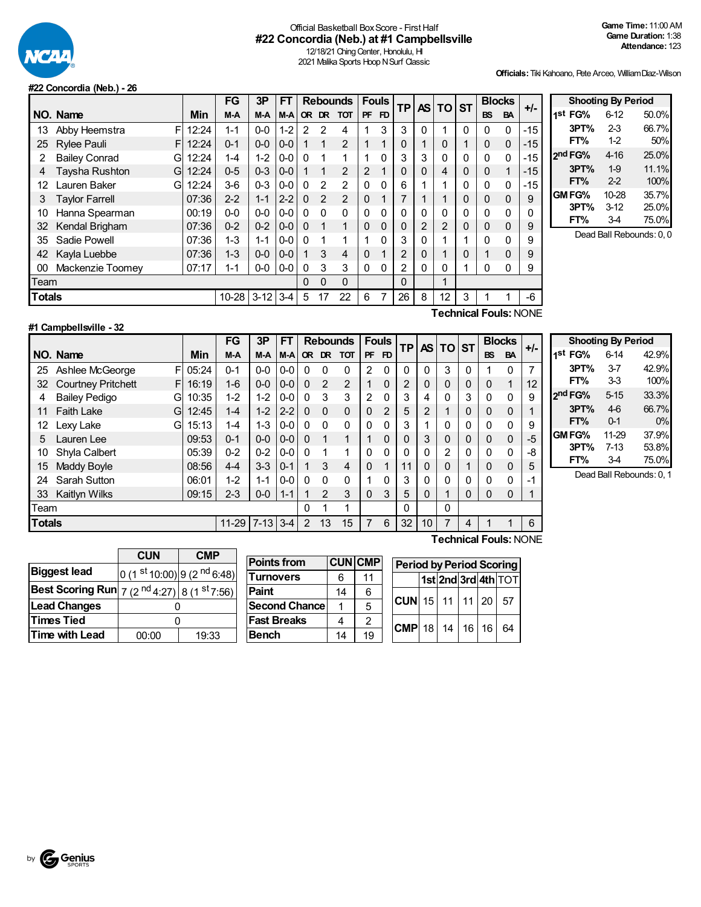

### Official Basketball Box Score - First Half **#22 Concordia (Neb.) at #1 Campbellsville**

12/18/21 Ching Center, Honolulu, HI 2021 Malika Sports Hoop N Surf Classic

**Officials:**Tiki Kahoano, Pete Arceo, WilliamDiaz-Wilson

#### **#22 Concordia (Neb.) - 26**

|               |                           |       | FG        | 3P       | FT      |              |               | <b>Rebounds</b> |              | <b>Fouls</b> | <b>TP</b>      |   | AS TO          | <b>ST</b> | <b>Blocks</b> |              | $+/-$ |
|---------------|---------------------------|-------|-----------|----------|---------|--------------|---------------|-----------------|--------------|--------------|----------------|---|----------------|-----------|---------------|--------------|-------|
|               | NO. Name                  | Min   | M-A       | M-A      | $M-A$   |              | OR DR         | <b>TOT</b>      | <b>PF</b>    | FD.          |                |   |                |           | <b>BS</b>     | <b>BA</b>    |       |
| 13            | F<br>Abby Heemstra        | 12:24 | $1 - 1$   | $0-0$    | $1 - 2$ | 2            | 2             | 4               |              | 3            | 3              | 0 |                | 0         | $\Omega$      | $\mathbf 0$  | $-15$ |
| 25            | <b>Rylee Pauli</b><br>F   | 12:24 | $0 - 1$   | $0-0$    | $0 - 0$ |              |               | 2               | $\mathbf{1}$ | 1            | 0              |   | 0              | 1         | $\Omega$      | $\Omega$     | $-15$ |
| 2             | <b>Bailey Conrad</b><br>G | 12:24 | $1 - 4$   | $1 - 2$  | $0 - 0$ | $\Omega$     |               | 1               |              | 0            | 3              | 3 | $\mathbf 0$    | 0         | $\Omega$      | $\Omega$     | -15   |
| 4             | Taysha Rushton<br>G       | 12:24 | $0-5$     | $0 - 3$  | $0 - 0$ |              |               | $\overline{2}$  | 2            |              | 0              | 0 | 4              | 0         | 0             | 1            | $-15$ |
| 12            | Lauren Baker<br>G         | 12:24 | $3-6$     | $0 - 3$  | $0 - 0$ | $\Omega$     | $\mathcal{P}$ | $\overline{2}$  | $\Omega$     | 0            | 6              |   |                | 0         | 0             | 0            | $-15$ |
| 3             | <b>Taylor Farrell</b>     | 07:36 | $2 - 2$   | $1 - 1$  | $2 - 2$ | $\Omega$     | 2             | $\overline{2}$  | $\Omega$     | 1            | 7              |   | 1              | 0         | $\Omega$      | 0            | 9     |
| 10            | Hanna Spearman            | 00:19 | $0 - 0$   | $0-0$    | $0-0$   | $\Omega$     | $\Omega$      | 0               | 0            | $\Omega$     | 0              | 0 | 0              | 0         | 0             | 0            |       |
| 32            | Kendal Brigham            | 07:36 | $0 - 2$   | $0 - 2$  | $0-0$   | $\Omega$     |               | 1               | 0            | $\mathbf{0}$ | 0              | 2 | $\overline{2}$ | 0         | $\Omega$      | 0            | 9     |
| 35            | Sadie Powell              | 07:36 | $1 - 3$   | 1-1      | $0 - 0$ | $\Omega$     |               | 1               |              | 0            | 3              | 0 |                | 1         | $\Omega$      | $\Omega$     | 9     |
| 42            | Kayla Luebbe              | 07:36 | $1 - 3$   | $0-0$    | $0 - 0$ |              | 3             | 4               | $\Omega$     | 1            | 2              | 0 | 1              | 0         | 1             | 0            | 9     |
| 00            | Mackenzie Toomey          | 07:17 | $1 - 1$   | $0-0$    | $0-0$   | $\mathbf{0}$ | 3             | 3               | 0            | 0            | $\overline{2}$ | 0 | 0              | ◀         | 0             | $\mathbf{0}$ | 9     |
| Team          |                           |       |           |          |         | 0            | $\Omega$      | 0               |              |              | 0              |   | 1              |           |               |              |       |
| <b>Totals</b> |                           |       | $10 - 28$ | $3 - 12$ | $3 - 4$ | 5            | 17            | 22              | 6            | 7            | 26             | 8 | 12             | 3         |               |              | -6    |
|               |                           |       |           |          |         |              |               |                 |              |              |                |   | -              | . .       | -             |              | 10.1  |

**Shooting By Period 1 st FG%** 6-12 50.0% **3PT%** 2-3 66.7% **FT%** 1-2 50% **2 nd FG%** 4-16 25.0% **3PT%** 1-9 11.1% **FT%** 2-2 100% **GMFG%** 10-28 35.7% **3PT%** 3-12 **FT%** 3-4 75.0%

Dead Ball Rebounds: 0, 0

#### **#1 Campbellsville - 32**

**Technical Fouls:**NONE

|               |                                |       | FG        | 3P         | <b>FT</b> |           |                | <b>Rebounds</b> |           | <b>Fouls</b> | ΤP |                | <b>ASITOI</b> | <b>ST</b> |           | <b>Blocks</b> | $+/-$ |
|---------------|--------------------------------|-------|-----------|------------|-----------|-----------|----------------|-----------------|-----------|--------------|----|----------------|---------------|-----------|-----------|---------------|-------|
|               | NO. Name                       | Min   | M-A       | M-A        | M-A       | <b>OR</b> | DR             | <b>TOT</b>      | <b>PF</b> | FD           |    |                |               |           | <b>BS</b> | <b>BA</b>     |       |
| 25            | F<br>Ashlee McGeorge           | 05:24 | $0 - 1$   | $0-0$      | $0-0$     | $\Omega$  | 0              | 0               | 2         | 0            | 0  | 0              | 3             | 0         |           | 0             | 7     |
| 32            | <b>Courtney Pritchett</b><br>F | 16:19 | $1 - 6$   | $0 - 0$    | $0 - 0$   | $\Omega$  | $\overline{2}$ | $\overline{2}$  |           | 0            | 2  | 0              | 0             | 0         | 0         | $\mathbf{1}$  | 12    |
| 4             | <b>Bailey Pedigo</b><br>G      | 10:35 | $1 - 2$   | $1 - 2$    | $0-0$     | $\Omega$  | 3              | 3               | 2         | 0            | 3  | 4              | 0             | 3         | 0         | 0             | 9     |
| 11            | <b>Faith Lake</b><br>G         | 12:45 | $1 - 4$   | $1 - 2$    | $2 - 2$   | $\Omega$  | $\Omega$       | 0               | 0         | 2            | 5  | $\overline{2}$ |               | 0         | 0         | 0             |       |
| 12            | G<br>Lexy Lake                 | 15:13 | $1 - 4$   | 1-3        | $0-0$     | $\Omega$  | $\Omega$       | 0               | $\Omega$  | 0            | 3  |                | 0             | 0         | 0         | 0             | 9     |
| 5             | Lauren Lee                     | 09:53 | $0 - 1$   | $0 - 0$    | $0 - 0$   | $\Omega$  | 1              | 1               |           | 0            | 0  | 3              | 0             | 0         | 0         | $\mathbf 0$   | -5    |
| 10            | Shyla Calbert                  | 05:39 | $0 - 2$   | $0 - 2$    | $0-0$     | $\Omega$  | 1              | 1               | 0         | 0            | 0  | 0              | 2             | 0         | 0         | 0             | -8    |
| 15            | Maddy Boyle                    | 08:56 | $4 - 4$   | $3-3$      | $0 - 1$   | 1         | 3              | 4               | $\Omega$  | 1            | 11 | 0              | 0             | 1         | 0         | 0             | 5     |
| 24            | Sarah Sutton                   | 06:01 | $1 - 2$   | $1 - 1$    | $0-0$     | $\Omega$  | $\Omega$       | 0               |           | 0            | 3  | 0              | 0             | 0         | 0         | 0             | -1    |
| 33            | <b>Kaitlyn Wilks</b>           | 09:15 | $2 - 3$   | $0-0$      | $1 - 1$   |           | $\mathfrak{p}$ | 3               | 0         | 3            | 5  | 0              | 1             | 0         | 0         | 0             |       |
| Team          |                                |       |           |            |           | $\Omega$  |                | 1               |           |              | 0  |                | 0             |           |           |               |       |
| <b>Totals</b> |                                |       | $11 - 29$ | $7-13$ 3-4 |           | 2         | 13             | 15              |           | 6            | 32 | 10             | 7             | 4         |           |               | 6     |
|               |                                |       |           |            |           |           |                |                 |           |              |    | -              |               |           | -         |               |       |

| <b>Shooting By Period</b> |          |       |  |  |  |  |  |
|---------------------------|----------|-------|--|--|--|--|--|
| 1 <sup>st</sup> FG%       | $6 - 14$ | 42.9% |  |  |  |  |  |
| 3PT%                      | $3-7$    | 42.9% |  |  |  |  |  |
| FT%                       | 33       | 100%  |  |  |  |  |  |
| 2nd FG%                   | $5 - 15$ | 33.3% |  |  |  |  |  |
| 3PT%                      | $4-6$    | 66.7% |  |  |  |  |  |
| FT%                       | $0 - 1$  | 0%    |  |  |  |  |  |
| GMFG%                     | 11-29    | 37.9% |  |  |  |  |  |
| 3PT%                      | $7 - 13$ | 53.8% |  |  |  |  |  |
| FT%                       | 34       | 75.0% |  |  |  |  |  |

Dead Ball Rebounds: 0, 1

|                                                                                   | <b>CUN</b><br>CMP                       |       |  |  |  |  |  |
|-----------------------------------------------------------------------------------|-----------------------------------------|-------|--|--|--|--|--|
| <b>Biggest lead</b>                                                               | 0 (1 st 10:00) 9 (2 <sup>nd</sup> 6:48) |       |  |  |  |  |  |
| <b>Best Scoring Run</b> $\left 7\right\rangle (2 \text{ nd } 4:27)$ 8 (1 st 7:56) |                                         |       |  |  |  |  |  |
| <b>Lead Changes</b>                                                               |                                         |       |  |  |  |  |  |
| <b>Times Tied</b>                                                                 |                                         |       |  |  |  |  |  |
| Time with Lead                                                                    | 00:00                                   | 19:33 |  |  |  |  |  |

| <b>Points from</b>   |    | <b>CUN CMP</b> |
|----------------------|----|----------------|
| <b>Turnovers</b>     | 6  | 11             |
| Paint                | 14 | 6              |
| <b>Second Chance</b> |    | 5              |
| <b>Fast Breaks</b>   |    | $\mathfrak{p}$ |
| <b>Bench</b>         | 14 | 19             |

| <b>Period by Period Scoring</b> |  |  |  |  |                     |  |  |
|---------------------------------|--|--|--|--|---------------------|--|--|
|                                 |  |  |  |  | 1st 2nd 3rd 4th TOT |  |  |
| <b>CUN</b> 15 11 11 20 57       |  |  |  |  |                     |  |  |
| $CMP$ 18 14 16 16 64            |  |  |  |  |                     |  |  |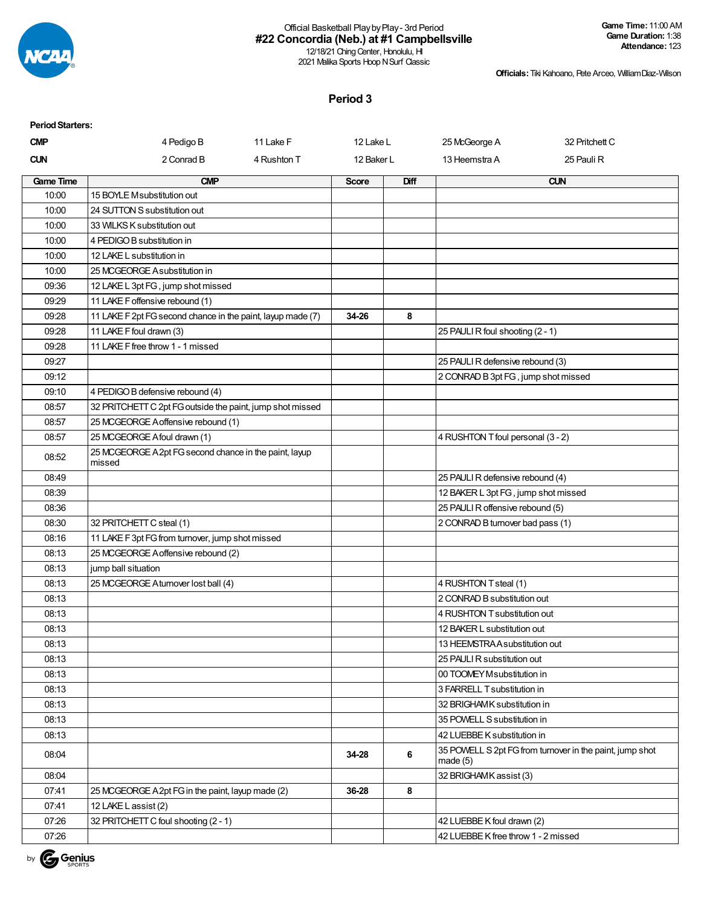

#### Official Basketball PlaybyPlay- 3rd Period **#22 Concordia (Neb.) at #1 Campbellsville** 12/18/21 Ching Center, Honolulu, HI

2021 Malika Sports Hoop N Surf Classic

**Officials:**Tiki Kahoano, Pete Arceo, WilliamDiaz-Wilson

#### **Period 3**

| <b>Period Starters:</b> |                                                                  |             |              |             |                                     |                                                          |
|-------------------------|------------------------------------------------------------------|-------------|--------------|-------------|-------------------------------------|----------------------------------------------------------|
| <b>CMP</b>              | 4 Pedigo B                                                       | 11 Lake F   | 12 Lake L    |             | 25 McGeorge A                       | 32 Pritchett C                                           |
| <b>CUN</b>              | 2 Conrad B                                                       | 4 Rushton T | 12 Baker L   |             | 13 Heemstra A                       | 25 Pauli R                                               |
| <b>Game Time</b>        | <b>CMP</b>                                                       |             | <b>Score</b> | <b>Diff</b> |                                     | <b>CUN</b>                                               |
| 10:00                   | 15 BOYLE M substitution out                                      |             |              |             |                                     |                                                          |
| 10:00                   | 24 SUTTON S substitution out                                     |             |              |             |                                     |                                                          |
| 10:00                   | 33 WILKS K substitution out                                      |             |              |             |                                     |                                                          |
| 10:00                   | 4 PEDIGO B substitution in                                       |             |              |             |                                     |                                                          |
| 10:00                   | 12 LAKE L substitution in                                        |             |              |             |                                     |                                                          |
| 10:00                   | 25 MCGEORGE A substitution in                                    |             |              |             |                                     |                                                          |
| 09:36                   | 12 LAKE L 3pt FG, jump shot missed                               |             |              |             |                                     |                                                          |
| 09:29                   | 11 LAKE F offensive rebound (1)                                  |             |              |             |                                     |                                                          |
| 09:28                   | 11 LAKE F 2pt FG second chance in the paint, layup made (7)      |             | 34-26        | 8           |                                     |                                                          |
| 09:28                   | 11 LAKE F foul drawn (3)                                         |             |              |             | 25 PAULI R foul shooting (2 - 1)    |                                                          |
| 09:28                   | 11 LAKE F free throw 1 - 1 missed                                |             |              |             |                                     |                                                          |
| 09:27                   |                                                                  |             |              |             | 25 PAULI R defensive rebound (3)    |                                                          |
| 09:12                   |                                                                  |             |              |             | 2 CONRAD B 3pt FG, jump shot missed |                                                          |
| 09:10                   | 4 PEDIGO B defensive rebound (4)                                 |             |              |             |                                     |                                                          |
| 08:57                   | 32 PRITCHETT C 2pt FG outside the paint, jump shot missed        |             |              |             |                                     |                                                          |
| 08:57                   | 25 MCGEORGE A offensive rebound (1)                              |             |              |             |                                     |                                                          |
| 08:57                   | 25 MCGEORGE A foul drawn (1)                                     |             |              |             | 4 RUSHTON T foul personal (3 - 2)   |                                                          |
| 08:52                   | 25 MCGEORGE A 2pt FG second chance in the paint, layup<br>missed |             |              |             |                                     |                                                          |
| 08:49                   |                                                                  |             |              |             | 25 PAULI R defensive rebound (4)    |                                                          |
| 08:39                   |                                                                  |             |              |             | 12 BAKER L 3pt FG, jump shot missed |                                                          |
| 08:36                   |                                                                  |             |              |             | 25 PAULI R offensive rebound (5)    |                                                          |
| 08:30                   | 32 PRITCHETT C steal (1)                                         |             |              |             | 2 CONRAD B turnover bad pass (1)    |                                                          |
| 08:16                   | 11 LAKE F 3pt FG from turnover, jump shot missed                 |             |              |             |                                     |                                                          |
| 08:13                   | 25 MCGEORGE A offensive rebound (2)                              |             |              |             |                                     |                                                          |
| 08:13                   | jump ball situation                                              |             |              |             |                                     |                                                          |
| 08:13                   | 25 MCGEORGE Aturnover lost ball (4)                              |             |              |             | 4 RUSHTON T steal (1)               |                                                          |
| 08:13                   |                                                                  |             |              |             | 2 CONRAD B substitution out         |                                                          |
| 08:13                   |                                                                  |             |              |             | 4 RUSHTON T substitution out        |                                                          |
| 08:13                   |                                                                  |             |              |             | 12 BAKER L substitution out         |                                                          |
| 08:13                   |                                                                  |             |              |             | 13 HEEMSTRA A substitution out      |                                                          |
| 08:13                   |                                                                  |             |              |             | 25 PAULI R substitution out         |                                                          |
| 08:13                   |                                                                  |             |              |             | 00 TOOMEY Msubstitution in          |                                                          |
| 08:13                   |                                                                  |             |              |             | 3 FARRELL T substitution in         |                                                          |
| 08:13                   |                                                                  |             |              |             | 32 BRIGHAMK substitution in         |                                                          |
| 08:13                   |                                                                  |             |              |             | 35 POWELL S substitution in         |                                                          |
| 08:13                   |                                                                  |             |              |             | 42 LUEBBE K substitution in         |                                                          |
| 08:04                   |                                                                  |             | 34-28        | 6           | made $(5)$                          | 35 POWELL S 2pt FG from turnover in the paint, jump shot |
| 08:04                   |                                                                  |             |              |             | 32 BRIGHAMK assist (3)              |                                                          |
| 07:41                   | 25 MCGEORGE A 2pt FG in the paint, layup made (2)                |             | 36-28        | 8           |                                     |                                                          |
| 07:41                   | 12 LAKE L assist (2)                                             |             |              |             |                                     |                                                          |
| 07:26                   | 32 PRITCHETT C foul shooting (2 - 1)                             |             |              |             | 42 LUEBBE K foul drawn (2)          |                                                          |
| 07:26                   |                                                                  |             |              |             | 42 LUEBBE K free throw 1 - 2 missed |                                                          |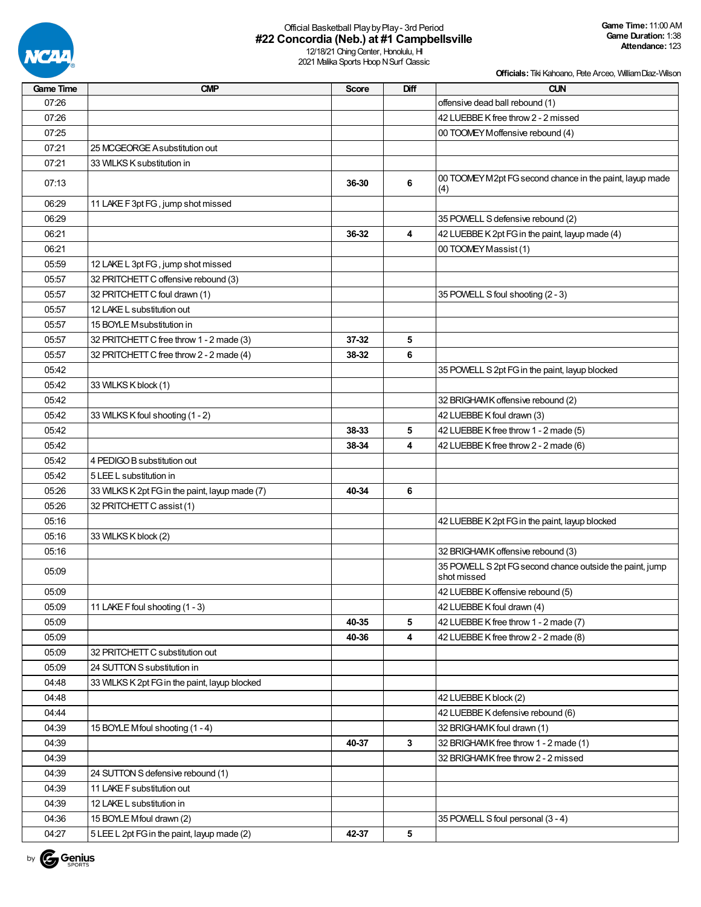

# Official Basketball PlaybyPlay- 3rd Period **#22 Concordia (Neb.) at #1 Campbellsville**

12/18/21 Ching Center, Honolulu, HI 2021 Malika Sports Hoop N Surf Classic

| Game Time | <b>CMP</b>                                     | <b>Score</b> | Diff         | <b>CUN</b>                                                              |
|-----------|------------------------------------------------|--------------|--------------|-------------------------------------------------------------------------|
| 07:26     |                                                |              |              | offensive dead ball rebound (1)                                         |
| 07:26     |                                                |              |              | 42 LUEBBE K free throw 2 - 2 missed                                     |
| 07:25     |                                                |              |              | 00 TOOMEY Moffensive rebound (4)                                        |
| 07:21     | 25 MCGEORGE A substitution out                 |              |              |                                                                         |
| 07:21     | 33 WILKS K substitution in                     |              |              |                                                                         |
| 07:13     |                                                | 36-30        | 6            | 00 TOOMEY M2pt FG second chance in the paint, layup made<br>(4)         |
| 06:29     | 11 LAKE F 3pt FG, jump shot missed             |              |              |                                                                         |
| 06:29     |                                                |              |              | 35 POWELL S defensive rebound (2)                                       |
| 06:21     |                                                | 36-32        | 4            | 42 LUEBBE K 2pt FG in the paint, layup made (4)                         |
| 06:21     |                                                |              |              | 00 TOOMEY Massist (1)                                                   |
| 05:59     | 12 LAKE L 3pt FG, jump shot missed             |              |              |                                                                         |
| 05:57     | 32 PRITCHETT C offensive rebound (3)           |              |              |                                                                         |
| 05:57     | 32 PRITCHETT C foul drawn (1)                  |              |              | 35 POWELL S foul shooting (2 - 3)                                       |
| 05:57     | 12 LAKE L substitution out                     |              |              |                                                                         |
| 05:57     | 15 BOYLE Msubstitution in                      |              |              |                                                                         |
| 05:57     | 32 PRITCHETT C free throw 1 - 2 made (3)       | 37-32        | 5            |                                                                         |
| 05:57     | 32 PRITCHETT C free throw 2 - 2 made (4)       | 38-32        | 6            |                                                                         |
| 05:42     |                                                |              |              | 35 POWELL S 2pt FG in the paint, layup blocked                          |
| 05:42     | 33 WILKS K block (1)                           |              |              |                                                                         |
| 05:42     |                                                |              |              | 32 BRIGHAMK offensive rebound (2)                                       |
| 05:42     | 33 WILKS K foul shooting (1 - 2)               |              |              | 42 LUEBBE K foul drawn (3)                                              |
| 05:42     |                                                | 38-33        | 5            | 42 LUEBBE K free throw 1 - 2 made (5)                                   |
| 05:42     |                                                | 38-34        | 4            | 42 LUEBBE K free throw 2 - 2 made (6)                                   |
| 05:42     | 4 PEDIGO B substitution out                    |              |              |                                                                         |
| 05:42     | 5 LEE L substitution in                        |              |              |                                                                         |
| 05:26     | 33 WILKS K 2pt FG in the paint, layup made (7) | 40-34        | 6            |                                                                         |
| 05:26     | 32 PRITCHETT C assist (1)                      |              |              |                                                                         |
| 05:16     |                                                |              |              | 42 LUEBBE K 2pt FG in the paint, layup blocked                          |
| 05:16     | 33 WILKS K block (2)                           |              |              |                                                                         |
| 05:16     |                                                |              |              | 32 BRIGHAMK offensive rebound (3)                                       |
| 05:09     |                                                |              |              | 35 POWELL S 2pt FG second chance outside the paint, jump<br>shot missed |
| 05:09     |                                                |              |              | 42 LUEBBE K offensive rebound (5)                                       |
| 05:09     | 11 LAKE F foul shooting (1 - 3)                |              |              | 42 LUEBBE K foul drawn (4)                                              |
| 05:09     |                                                | 40-35        | 5            | 42 LUEBBE K free throw 1 - 2 made (7)                                   |
| 05:09     |                                                | 40-36        | 4            | 42 LUEBBE K free throw 2 - 2 made (8)                                   |
| 05:09     | 32 PRITCHETT C substitution out                |              |              |                                                                         |
| 05:09     | 24 SUTTON S substitution in                    |              |              |                                                                         |
| 04:48     | 33 WILKS K 2pt FG in the paint, layup blocked  |              |              |                                                                         |
| 04:48     |                                                |              |              | 42 LUEBBE K block (2)                                                   |
| 04:44     |                                                |              |              | 42 LUEBBE K defensive rebound (6)                                       |
| 04:39     | 15 BOYLE Mfoul shooting (1 - 4)                |              |              | 32 BRIGHAMK foul drawn (1)                                              |
| 04:39     |                                                | 40-37        | $\mathbf{3}$ | 32 BRIGHAMK free throw 1 - 2 made (1)                                   |
| 04:39     |                                                |              |              | 32 BRIGHAMK free throw 2 - 2 missed                                     |
| 04:39     | 24 SUTTON S defensive rebound (1)              |              |              |                                                                         |
| 04:39     | 11 LAKE F substitution out                     |              |              |                                                                         |
| 04:39     | 12 LAKE L substitution in                      |              |              |                                                                         |
| 04:36     | 15 BOYLE Mfoul drawn (2)                       |              |              | 35 POWELL S foul personal (3 - 4)                                       |
| 04:27     | 5 LEE L 2pt FG in the paint, layup made (2)    | 42-37        | 5            |                                                                         |
|           |                                                |              |              |                                                                         |

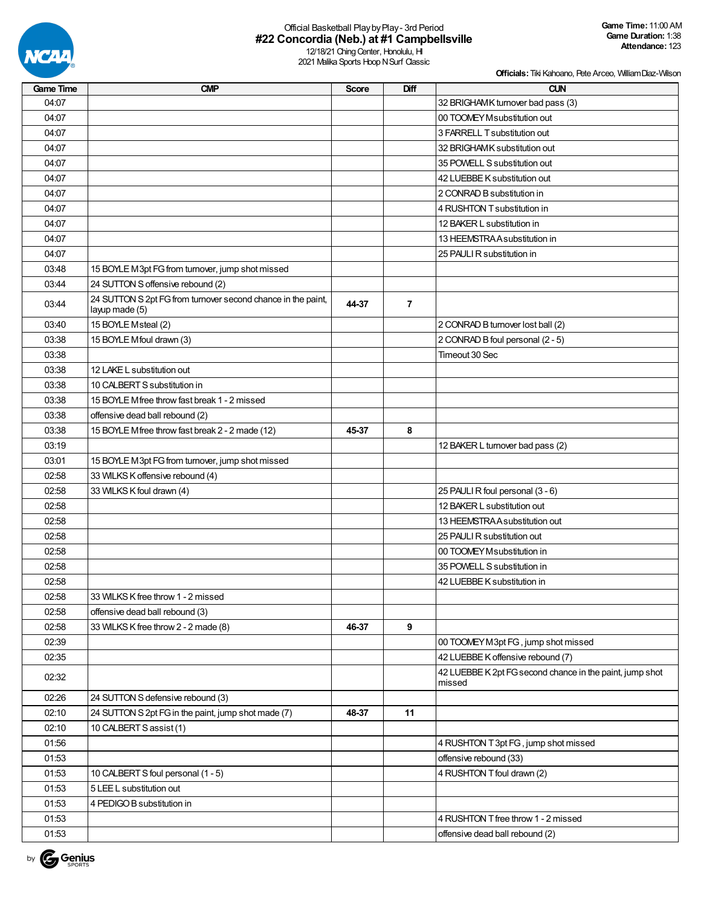

## Official Basketball PlaybyPlay- 3rd Period **#22 Concordia (Neb.) at #1 Campbellsville**

12/18/21 Ching Center, Honolulu, HI 2021 Malika Sports Hoop N Surf Classic

| Score<br>04:07<br>32 BRIGHAMK turnover bad pass (3)<br>04:07<br>00 TOOMEY M substitution out<br>04:07<br>3 FARRELL T substitution out<br>04:07<br>32 BRIGHAMK substitution out<br>04:07<br>35 POWELL S substitution out<br>04:07<br>42 LUEBBE K substitution out<br>04:07<br>2 CONRAD B substitution in<br>04:07<br>4 RUSHTON T substitution in<br>04:07<br>12 BAKER L substitution in<br>04:07<br>13 HEEMSTRAA substitution in<br>04:07<br>25 PAULI R substitution in<br>03:48<br>15 BOYLE M3pt FG from turnover, jump shot missed<br>03:44<br>24 SUTTON S offensive rebound (2)<br>24 SUTTON S 2pt FG from turnover second chance in the paint,<br>44-37<br>$\overline{7}$<br>03:44<br>layup made (5)<br>15 BOYLE Msteal (2)<br>2 CONRAD B turnover lost ball (2)<br>03:40<br>03:38<br>15 BOYLE Mfoul drawn (3)<br>2 CONRAD B foul personal (2 - 5)<br>03:38<br>Timeout 30 Sec<br>03:38<br>12 LAKE L substitution out<br>03:38<br>10 CALBERT S substitution in<br>03:38<br>15 BOYLE Miree throw fast break 1 - 2 missed<br>03:38<br>offensive dead ball rebound (2)<br>03:38<br>15 BOYLE Mfree throw fast break 2 - 2 made (12)<br>8<br>45-37<br>03:19<br>12 BAKER L turnover bad pass (2)<br>03:01<br>15 BOYLE M3pt FG from turnover, jump shot missed |
|-----------------------------------------------------------------------------------------------------------------------------------------------------------------------------------------------------------------------------------------------------------------------------------------------------------------------------------------------------------------------------------------------------------------------------------------------------------------------------------------------------------------------------------------------------------------------------------------------------------------------------------------------------------------------------------------------------------------------------------------------------------------------------------------------------------------------------------------------------------------------------------------------------------------------------------------------------------------------------------------------------------------------------------------------------------------------------------------------------------------------------------------------------------------------------------------------------------------------------------------------------------|
|                                                                                                                                                                                                                                                                                                                                                                                                                                                                                                                                                                                                                                                                                                                                                                                                                                                                                                                                                                                                                                                                                                                                                                                                                                                           |
|                                                                                                                                                                                                                                                                                                                                                                                                                                                                                                                                                                                                                                                                                                                                                                                                                                                                                                                                                                                                                                                                                                                                                                                                                                                           |
|                                                                                                                                                                                                                                                                                                                                                                                                                                                                                                                                                                                                                                                                                                                                                                                                                                                                                                                                                                                                                                                                                                                                                                                                                                                           |
|                                                                                                                                                                                                                                                                                                                                                                                                                                                                                                                                                                                                                                                                                                                                                                                                                                                                                                                                                                                                                                                                                                                                                                                                                                                           |
|                                                                                                                                                                                                                                                                                                                                                                                                                                                                                                                                                                                                                                                                                                                                                                                                                                                                                                                                                                                                                                                                                                                                                                                                                                                           |
|                                                                                                                                                                                                                                                                                                                                                                                                                                                                                                                                                                                                                                                                                                                                                                                                                                                                                                                                                                                                                                                                                                                                                                                                                                                           |
|                                                                                                                                                                                                                                                                                                                                                                                                                                                                                                                                                                                                                                                                                                                                                                                                                                                                                                                                                                                                                                                                                                                                                                                                                                                           |
|                                                                                                                                                                                                                                                                                                                                                                                                                                                                                                                                                                                                                                                                                                                                                                                                                                                                                                                                                                                                                                                                                                                                                                                                                                                           |
|                                                                                                                                                                                                                                                                                                                                                                                                                                                                                                                                                                                                                                                                                                                                                                                                                                                                                                                                                                                                                                                                                                                                                                                                                                                           |
|                                                                                                                                                                                                                                                                                                                                                                                                                                                                                                                                                                                                                                                                                                                                                                                                                                                                                                                                                                                                                                                                                                                                                                                                                                                           |
|                                                                                                                                                                                                                                                                                                                                                                                                                                                                                                                                                                                                                                                                                                                                                                                                                                                                                                                                                                                                                                                                                                                                                                                                                                                           |
|                                                                                                                                                                                                                                                                                                                                                                                                                                                                                                                                                                                                                                                                                                                                                                                                                                                                                                                                                                                                                                                                                                                                                                                                                                                           |
|                                                                                                                                                                                                                                                                                                                                                                                                                                                                                                                                                                                                                                                                                                                                                                                                                                                                                                                                                                                                                                                                                                                                                                                                                                                           |
|                                                                                                                                                                                                                                                                                                                                                                                                                                                                                                                                                                                                                                                                                                                                                                                                                                                                                                                                                                                                                                                                                                                                                                                                                                                           |
|                                                                                                                                                                                                                                                                                                                                                                                                                                                                                                                                                                                                                                                                                                                                                                                                                                                                                                                                                                                                                                                                                                                                                                                                                                                           |
|                                                                                                                                                                                                                                                                                                                                                                                                                                                                                                                                                                                                                                                                                                                                                                                                                                                                                                                                                                                                                                                                                                                                                                                                                                                           |
|                                                                                                                                                                                                                                                                                                                                                                                                                                                                                                                                                                                                                                                                                                                                                                                                                                                                                                                                                                                                                                                                                                                                                                                                                                                           |
|                                                                                                                                                                                                                                                                                                                                                                                                                                                                                                                                                                                                                                                                                                                                                                                                                                                                                                                                                                                                                                                                                                                                                                                                                                                           |
|                                                                                                                                                                                                                                                                                                                                                                                                                                                                                                                                                                                                                                                                                                                                                                                                                                                                                                                                                                                                                                                                                                                                                                                                                                                           |
|                                                                                                                                                                                                                                                                                                                                                                                                                                                                                                                                                                                                                                                                                                                                                                                                                                                                                                                                                                                                                                                                                                                                                                                                                                                           |
|                                                                                                                                                                                                                                                                                                                                                                                                                                                                                                                                                                                                                                                                                                                                                                                                                                                                                                                                                                                                                                                                                                                                                                                                                                                           |
|                                                                                                                                                                                                                                                                                                                                                                                                                                                                                                                                                                                                                                                                                                                                                                                                                                                                                                                                                                                                                                                                                                                                                                                                                                                           |
|                                                                                                                                                                                                                                                                                                                                                                                                                                                                                                                                                                                                                                                                                                                                                                                                                                                                                                                                                                                                                                                                                                                                                                                                                                                           |
|                                                                                                                                                                                                                                                                                                                                                                                                                                                                                                                                                                                                                                                                                                                                                                                                                                                                                                                                                                                                                                                                                                                                                                                                                                                           |
|                                                                                                                                                                                                                                                                                                                                                                                                                                                                                                                                                                                                                                                                                                                                                                                                                                                                                                                                                                                                                                                                                                                                                                                                                                                           |
| 02:58<br>33 WILKS K offensive rebound (4)                                                                                                                                                                                                                                                                                                                                                                                                                                                                                                                                                                                                                                                                                                                                                                                                                                                                                                                                                                                                                                                                                                                                                                                                                 |
| 33 WILKS K foul drawn (4)<br>25 PAULI R foul personal (3 - 6)<br>02:58                                                                                                                                                                                                                                                                                                                                                                                                                                                                                                                                                                                                                                                                                                                                                                                                                                                                                                                                                                                                                                                                                                                                                                                    |
| 02:58<br>12 BAKER L substitution out                                                                                                                                                                                                                                                                                                                                                                                                                                                                                                                                                                                                                                                                                                                                                                                                                                                                                                                                                                                                                                                                                                                                                                                                                      |
| 02:58<br>13 HEEMSTRAA substitution out                                                                                                                                                                                                                                                                                                                                                                                                                                                                                                                                                                                                                                                                                                                                                                                                                                                                                                                                                                                                                                                                                                                                                                                                                    |
| 02:58<br>25 PAULI R substitution out                                                                                                                                                                                                                                                                                                                                                                                                                                                                                                                                                                                                                                                                                                                                                                                                                                                                                                                                                                                                                                                                                                                                                                                                                      |
| 02:58<br>00 TOOMEY M substitution in                                                                                                                                                                                                                                                                                                                                                                                                                                                                                                                                                                                                                                                                                                                                                                                                                                                                                                                                                                                                                                                                                                                                                                                                                      |
| 02:58<br>35 POWELL S substitution in                                                                                                                                                                                                                                                                                                                                                                                                                                                                                                                                                                                                                                                                                                                                                                                                                                                                                                                                                                                                                                                                                                                                                                                                                      |
| 02:58<br>42 LUEBBE K substitution in                                                                                                                                                                                                                                                                                                                                                                                                                                                                                                                                                                                                                                                                                                                                                                                                                                                                                                                                                                                                                                                                                                                                                                                                                      |
| 02:58<br>33 WILKS K free throw 1 - 2 missed                                                                                                                                                                                                                                                                                                                                                                                                                                                                                                                                                                                                                                                                                                                                                                                                                                                                                                                                                                                                                                                                                                                                                                                                               |
| 02:58<br>offensive dead ball rebound (3)                                                                                                                                                                                                                                                                                                                                                                                                                                                                                                                                                                                                                                                                                                                                                                                                                                                                                                                                                                                                                                                                                                                                                                                                                  |
| 9<br>02:58<br>33 WILKS K free throw 2 - 2 made (8)<br>46-37                                                                                                                                                                                                                                                                                                                                                                                                                                                                                                                                                                                                                                                                                                                                                                                                                                                                                                                                                                                                                                                                                                                                                                                               |
| 02:39<br>00 TOOMEY M3pt FG, jump shot missed                                                                                                                                                                                                                                                                                                                                                                                                                                                                                                                                                                                                                                                                                                                                                                                                                                                                                                                                                                                                                                                                                                                                                                                                              |
| 42 LUEBBE K offensive rebound (7)<br>02:35                                                                                                                                                                                                                                                                                                                                                                                                                                                                                                                                                                                                                                                                                                                                                                                                                                                                                                                                                                                                                                                                                                                                                                                                                |
| 42 LUEBBE K 2pt FG second chance in the paint, jump shot<br>02:32<br>missed                                                                                                                                                                                                                                                                                                                                                                                                                                                                                                                                                                                                                                                                                                                                                                                                                                                                                                                                                                                                                                                                                                                                                                               |
| 02:26<br>24 SUTTON S defensive rebound (3)                                                                                                                                                                                                                                                                                                                                                                                                                                                                                                                                                                                                                                                                                                                                                                                                                                                                                                                                                                                                                                                                                                                                                                                                                |
| 02:10<br>24 SUTTON S 2pt FG in the paint, jump shot made (7)<br>48-37<br>11                                                                                                                                                                                                                                                                                                                                                                                                                                                                                                                                                                                                                                                                                                                                                                                                                                                                                                                                                                                                                                                                                                                                                                               |
| 02:10<br>10 CALBERT S assist (1)                                                                                                                                                                                                                                                                                                                                                                                                                                                                                                                                                                                                                                                                                                                                                                                                                                                                                                                                                                                                                                                                                                                                                                                                                          |
| 01:56<br>4 RUSHTON T 3pt FG, jump shot missed                                                                                                                                                                                                                                                                                                                                                                                                                                                                                                                                                                                                                                                                                                                                                                                                                                                                                                                                                                                                                                                                                                                                                                                                             |
| 01:53<br>offensive rebound (33)                                                                                                                                                                                                                                                                                                                                                                                                                                                                                                                                                                                                                                                                                                                                                                                                                                                                                                                                                                                                                                                                                                                                                                                                                           |
| 01:53<br>10 CALBERT S foul personal (1 - 5)<br>4 RUSHTON T foul drawn (2)                                                                                                                                                                                                                                                                                                                                                                                                                                                                                                                                                                                                                                                                                                                                                                                                                                                                                                                                                                                                                                                                                                                                                                                 |
| 01:53<br>5 LEE L substitution out                                                                                                                                                                                                                                                                                                                                                                                                                                                                                                                                                                                                                                                                                                                                                                                                                                                                                                                                                                                                                                                                                                                                                                                                                         |
| 01:53<br>4 PEDIGO B substitution in                                                                                                                                                                                                                                                                                                                                                                                                                                                                                                                                                                                                                                                                                                                                                                                                                                                                                                                                                                                                                                                                                                                                                                                                                       |
| 01:53<br>4 RUSHTON T free throw 1 - 2 missed                                                                                                                                                                                                                                                                                                                                                                                                                                                                                                                                                                                                                                                                                                                                                                                                                                                                                                                                                                                                                                                                                                                                                                                                              |
| 01:53<br>offensive dead ball rebound (2)                                                                                                                                                                                                                                                                                                                                                                                                                                                                                                                                                                                                                                                                                                                                                                                                                                                                                                                                                                                                                                                                                                                                                                                                                  |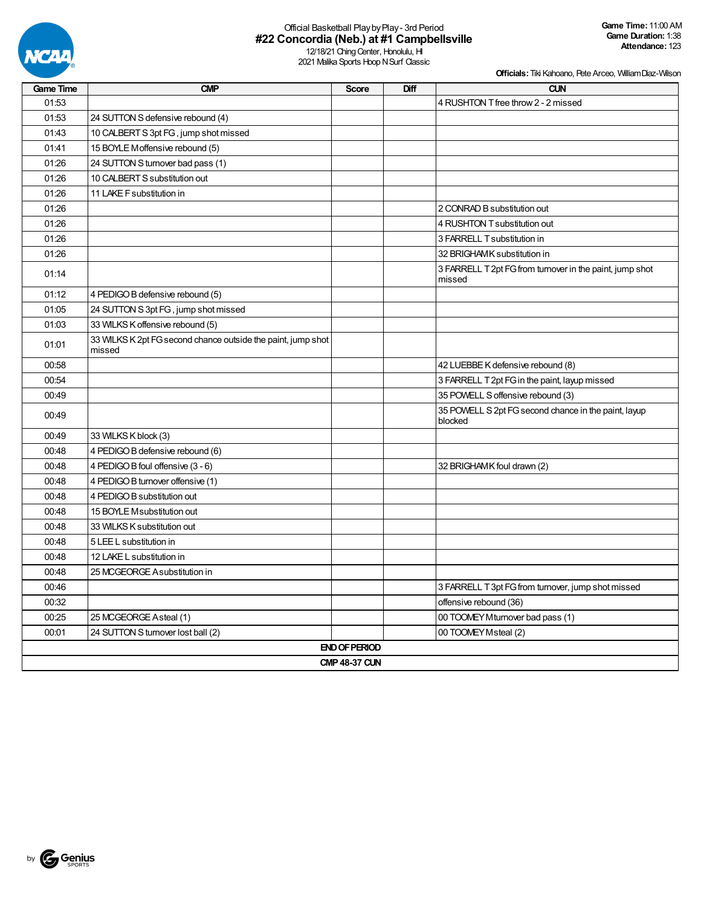

# Official Basketball PlaybyPlay- 3rd Period **#22 Concordia (Neb.) at #1 Campbellsville**

12/18/21 Ching Center, Honolulu, HI 2021 Malika Sports Hoop N Surf Classic

| <b>Game Time</b> | <b>CMP</b>                                                             | <b>Score</b>         | Diff | <b>CUN</b>                                                         |  |  |  |  |
|------------------|------------------------------------------------------------------------|----------------------|------|--------------------------------------------------------------------|--|--|--|--|
| 01:53            |                                                                        |                      |      | 4 RUSHTON T free throw 2 - 2 missed                                |  |  |  |  |
| 01:53            | 24 SUTTON S defensive rebound (4)                                      |                      |      |                                                                    |  |  |  |  |
| 01:43            | 10 CALBERT S 3pt FG, jump shot missed                                  |                      |      |                                                                    |  |  |  |  |
| 01:41            | 15 BOYLE Moffensive rebound (5)                                        |                      |      |                                                                    |  |  |  |  |
| 01:26            | 24 SUTTON S turnover bad pass (1)                                      |                      |      |                                                                    |  |  |  |  |
| 01:26            | 10 CALBERT S substitution out                                          |                      |      |                                                                    |  |  |  |  |
| 01:26            | 11 LAKE F substitution in                                              |                      |      |                                                                    |  |  |  |  |
| 01:26            |                                                                        |                      |      | 2 CONRAD B substitution out                                        |  |  |  |  |
| 01:26            |                                                                        |                      |      | 4 RUSHTON T substitution out                                       |  |  |  |  |
| 01:26            |                                                                        |                      |      | 3 FARRELL T substitution in                                        |  |  |  |  |
| 01:26            |                                                                        |                      |      | 32 BRIGHAMK substitution in                                        |  |  |  |  |
| 01:14            |                                                                        |                      |      | 3 FARRELL T 2pt FG from turnover in the paint, jump shot<br>missed |  |  |  |  |
| 01:12            | 4 PEDIGO B defensive rebound (5)                                       |                      |      |                                                                    |  |  |  |  |
| 01:05            | 24 SUTTON S 3pt FG, jump shot missed                                   |                      |      |                                                                    |  |  |  |  |
| 01:03            | 33 WILKS K offensive rebound (5)                                       |                      |      |                                                                    |  |  |  |  |
| 01:01            | 33 WILKS K 2pt FG second chance outside the paint, jump shot<br>missed |                      |      |                                                                    |  |  |  |  |
| 00:58            |                                                                        |                      |      | 42 LUEBBE K defensive rebound (8)                                  |  |  |  |  |
| 00:54            |                                                                        |                      |      | 3 FARRELL T 2pt FG in the paint, layup missed                      |  |  |  |  |
| 00:49            |                                                                        |                      |      | 35 POWELL S offensive rebound (3)                                  |  |  |  |  |
| 00:49            |                                                                        |                      |      | 35 POWELL S 2pt FG second chance in the paint, layup<br>blocked    |  |  |  |  |
| 00:49            | 33 WILKS K block (3)                                                   |                      |      |                                                                    |  |  |  |  |
| 00:48            | 4 PEDIGO B defensive rebound (6)                                       |                      |      |                                                                    |  |  |  |  |
| 00:48            | 4 PEDIGO B foul offensive (3 - 6)                                      |                      |      | 32 BRIGHAMK foul drawn (2)                                         |  |  |  |  |
| 00:48            | 4 PEDIGO B turnover offensive (1)                                      |                      |      |                                                                    |  |  |  |  |
| 00:48            | 4 PEDIGO B substitution out                                            |                      |      |                                                                    |  |  |  |  |
| 00:48            | 15 BOYLE Msubstitution out                                             |                      |      |                                                                    |  |  |  |  |
| 00:48            | 33 WILKS K substitution out                                            |                      |      |                                                                    |  |  |  |  |
| 00:48            | 5 LEE L substitution in                                                |                      |      |                                                                    |  |  |  |  |
| 00:48            | 12 LAKE L substitution in                                              |                      |      |                                                                    |  |  |  |  |
| 00:48            | 25 MCGEORGE A substitution in                                          |                      |      |                                                                    |  |  |  |  |
| 00:46            |                                                                        |                      |      | 3 FARRELL T 3pt FG from turnover, jump shot missed                 |  |  |  |  |
| 00:32            |                                                                        |                      |      | offensive rebound (36)                                             |  |  |  |  |
| 00:25            | 25 MCGEORGE Asteal (1)                                                 |                      |      | 00 TOOMEY Mturnover bad pass (1)                                   |  |  |  |  |
| 00:01            | 24 SUTTON S turnover lost ball (2)                                     |                      |      | 00 TOOMEY Msteal (2)                                               |  |  |  |  |
|                  |                                                                        | <b>END OF PERIOD</b> |      |                                                                    |  |  |  |  |
|                  | <b>CMP 48-37 CUN</b>                                                   |                      |      |                                                                    |  |  |  |  |

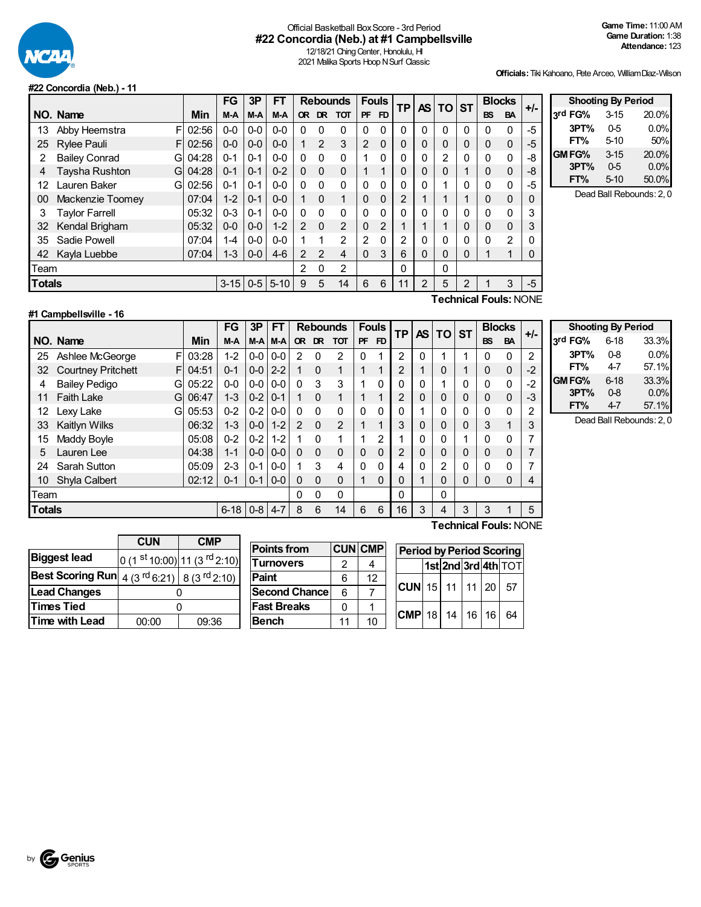

## Official Basketball BoxScore - 3rd Period **#22 Concordia (Neb.) at #1 Campbellsville**

12/18/21 Ching Center, Honolulu, HI 2021 Malika Sports Hoop N Surf Classic

**Officials:**Tiki Kahoano, Pete Arceo, WilliamDiaz-Wilson

#### **#22 Concordia (Neb.) - 11**

|               |                           |       | FG       | 3P      | FT       |           | <b>Rebounds</b> |                |                | <b>Fouls</b> | ΤP             | AS. | ΤO | <b>ST</b> |             | <b>Blocks</b> | $+/-$       |
|---------------|---------------------------|-------|----------|---------|----------|-----------|-----------------|----------------|----------------|--------------|----------------|-----|----|-----------|-------------|---------------|-------------|
|               | NO. Name                  | Min   | M-A      | M-A     | M-A      | <b>OR</b> | <b>DR</b>       | <b>TOT</b>     | <b>PF</b>      | FD.          |                |     |    |           | <b>BS</b>   | <b>BA</b>     |             |
| 13            | Abby Heemstra<br>F        | 02:56 | $0-0$    | $0-0$   | $0-0$    | 0         | $\mathbf{0}$    | 0              | $\mathbf{0}$   | 0            | 0              | 0   | 0  | 0         | 0           | $\mathbf{0}$  | -5          |
| 25            | <b>Rylee Pauli</b><br>F   | 02:56 | $0 - 0$  | $0-0$   | $0 - 0$  |           | $\overline{2}$  | 3              | $\overline{2}$ | 0            | 0              | 0   | 0  | 0         | 0           | 0             | -5          |
| 2             | <b>Bailey Conrad</b><br>G | 04:28 | $0 - 1$  | $0 - 1$ | $0 - 0$  | $\Omega$  | $\Omega$        | $\Omega$       |                | 0            | 0              | 0   | 2  | $\Omega$  | 0           | $\Omega$      | -8          |
| 4             | Taysha Rushton<br>G       | 04:28 | $0 - 1$  | $0 - 1$ | $0 - 2$  | $\Omega$  | $\Omega$        | $\mathbf 0$    |                | 4            | 0              | 0   | 0  |           | 0           | 0             | -8          |
| 12            | Lauren Baker<br>G         | 02:56 | $0 - 1$  | $0 - 1$ | $0 - 0$  | $\Omega$  | $\Omega$        | $\Omega$       | $\mathbf{0}$   | 0            | 0              | 0   | 1  | 0         | 0           | $\Omega$      | -5          |
| 00            | Mackenzie Toomey          | 07:04 | $1 - 2$  | $0 - 1$ | $0 - 0$  |           | $\Omega$        | 1              | 0              | $\mathbf 0$  | $\overline{2}$ |     | 1  |           | 0           | 0             | 0           |
| 3             | <b>Taylor Farrell</b>     | 05:32 | $0 - 3$  | $0 - 1$ | $0 - 0$  | $\Omega$  | $\Omega$        | $\Omega$       | $\mathbf{0}$   | 0            | 0              | U   | 0  | $\Omega$  | 0           | $\Omega$      | 3           |
| 32            | Kendal Brigham            | 05:32 | $0 - 0$  | $0-0$   | $1 - 2$  | 2         | $\Omega$        | $\overline{2}$ | 0              | 2            |                |     | 1  | 0         | $\mathbf 0$ | 0             | 3           |
| 35            | Sadie Powell              | 07:04 | 1-4      | $0-0$   | $0-0$    |           | 1               | $\overline{2}$ | 2              | 0            | 2              | 0   | 0  | $\Omega$  | 0           | 2             | $\mathbf 0$ |
| 42            | Kayla Luebbe              | 07:04 | $1 - 3$  | $0-0$   | $4-6$    | 2         | 2               | 4              | 0              | 3            | 6              | 0   | 0  | 0         |             | 1             | 0           |
| Team          |                           |       |          |         |          | 2         | $\mathbf{0}$    | 2              |                |              | 0              |     | 0  |           |             |               |             |
| <b>Totals</b> |                           |       | $3 - 15$ | $0-5$   | $5 - 10$ | 9         | 5               | 14             | 6              | 6            | 11             | 2   | 5  | 2         |             | 3             | $-5$        |
|               | Technical Fouls∙ NONF     |       |          |         |          |           |                 |                |                |              |                |     |    |           |             |               |             |

| <b>Shooting By Period</b> |          |       |  |  |  |  |  |  |
|---------------------------|----------|-------|--|--|--|--|--|--|
| 3rd FG%                   | $3 - 15$ | 20.0% |  |  |  |  |  |  |
| 3PT%                      | $0-5$    | 0.0%  |  |  |  |  |  |  |
| FT%                       | $5-10$   | 50%   |  |  |  |  |  |  |
| GM FG%                    | $3 - 15$ | 20.0% |  |  |  |  |  |  |
| 3PT%                      | $0-5$    | 0.0%  |  |  |  |  |  |  |
| FT%                       | $5 - 10$ | 50.0% |  |  |  |  |  |  |
|                           |          |       |  |  |  |  |  |  |

Dead Ball Rebounds: 2, 0

### **#1 Campbellsville - 16**

**Technical Fouls:**NONE

|               |                                 |       | FG         | 3P             | FT      |                | <b>Rebounds</b> |                | <b>Fouls</b> |                | <b>TP</b> | <b>AS</b> | <b>TO</b> | <b>ST</b> | <b>Blocks</b>  |           | +/-  |
|---------------|---------------------------------|-------|------------|----------------|---------|----------------|-----------------|----------------|--------------|----------------|-----------|-----------|-----------|-----------|----------------|-----------|------|
|               | NO. Name                        | Min   | M-A        | M-A            | M-A     | <b>OR</b>      | DR              | <b>TOT</b>     | PF           | F <sub>D</sub> |           |           |           |           | <b>BS</b>      | <b>BA</b> |      |
| 25            | Ashlee McGeorge<br>F            | 03:28 | $1 - 2$    | $0-0$          | $0-0$   | 2              | $\Omega$        | $\mathcal{P}$  | $\Omega$     |                | 2         | 0         |           |           | 0              | 0         | 2    |
| 32            | <b>Courtney Pritchett</b><br>F. | 04:51 | $0 - 1$    | $0-0$          | $2 - 2$ |                | $\Omega$        |                | ◢            |                | 2         |           | 0         |           | 0              | $\Omega$  | $-2$ |
| 4             | <b>Bailey Pedigo</b><br>G       | 05:22 | $0 - 0$    | $0-0$          | $0-0$   | 0              | 3               | 3              |              | $\Omega$       | 0         | 0         |           | 0         | 0              | 0         | $-2$ |
| 11            | <b>Faith Lake</b><br>G          | 06:47 | $1 - 3$    | $0 - 2$        | $0 - 1$ |                | $\Omega$        |                |              |                | 2         | 0         | 0         | 0         | 0              | 0         | -3   |
| 12            | Lexy Lake<br>G                  | 05:53 | $0 - 2$    | $0-2$          | $0 - 0$ | 0              | $\mathbf{0}$    | 0              | $\Omega$     | $\Omega$       | 0         |           | 0         | 0         | $\mathbf 0$    | 0         | 2    |
| 33            | Kaitlyn Wilks                   | 06:32 | $1 - 3$    | $0 - 0$        | $1 - 2$ | $\mathfrak{p}$ | $\Omega$        | $\mathfrak{p}$ | 1            |                | 3         | 0         | 0         | 0         | 3              |           | 3    |
| 15            | Maddy Boyle                     | 05:08 | $0 - 2$    | $0 - 2$        | $1 - 2$ |                | $\Omega$        |                | ◢            | 2              |           |           | 0         |           | $\mathbf 0$    | 0         |      |
| 5             | Lauren Lee                      | 04:38 | $1 - 1$    | $0 - 0 0 - 0$  |         | 0              | $\Omega$        | $\Omega$       | 0            | $\Omega$       | 2         | 0         | 0         | 0         | 0              | 0         |      |
| 24            | Sarah Sutton                    | 05:09 | $2 - 3$    | $0 - 1$        | $0-0$   |                | 3               | 4              | $\Omega$     | $\Omega$       |           |           | 2         | 0         | $\Omega$       | 0         |      |
| 10            | Shyla Calbert                   | 02:12 | $0 - 1$    | $0 - 1$ 0 $-0$ |         | 0              | $\Omega$        | 0              | 1            | $\Omega$       | 0         |           | 0         | 0         | $\overline{0}$ | 0         | 4    |
| Team          |                                 |       |            |                |         | 0              | $\Omega$        | $\Omega$       |              |                | 0         |           | 0         |           |                |           |      |
| <b>Totals</b> |                                 |       | $6-18$ 0-8 |                | $4 - 7$ | 8              | 6               | 14             | 6            | 6              | 16        | 3         | 4         | 3         | 3              |           | 5    |

| <b>Shooting By Period</b> |          |       |  |  |  |  |  |
|---------------------------|----------|-------|--|--|--|--|--|
| 3rd FG%                   | $6 - 18$ | 33.3% |  |  |  |  |  |
| 3PT%                      | 0-8      | 0.0%  |  |  |  |  |  |
| FT%                       | 47       | 57.1% |  |  |  |  |  |
| GM FG%                    | $6 - 18$ | 33.3% |  |  |  |  |  |
| 3PT%                      | 0.8      | 0.0%  |  |  |  |  |  |
| FT%                       | 47       | 57.1% |  |  |  |  |  |

Dead Ball Rebounds: 2, 0

|                                                                                                             | <b>CUN</b> | <b>CMP</b>                                            |  |  |  |
|-------------------------------------------------------------------------------------------------------------|------------|-------------------------------------------------------|--|--|--|
| <b>Biggest lead</b>                                                                                         |            | $0$ (1 <sup>st</sup> 10:00) 11 (3 <sup>rd</sup> 2:10) |  |  |  |
| <b>Best Scoring Run</b> $\left  4 \right $ (3 <sup>rd</sup> 6:21) $\left  8 \right $ (3 <sup>rd</sup> 2:10) |            |                                                       |  |  |  |
| <b>Lead Changes</b>                                                                                         |            |                                                       |  |  |  |
| <b>Times Tied</b>                                                                                           |            |                                                       |  |  |  |
| Time with Lead                                                                                              | 00:00      | 09:36                                                 |  |  |  |

| <b>Points from</b> |    | <b>CUN CMP</b> | Period by |        |  |
|--------------------|----|----------------|-----------|--------|--|
| <b>Turnovers</b>   |    |                |           | 1st.   |  |
| Paint              | 6  | 12             |           | CUN 15 |  |
| Second Chancel     | 6  |                |           |        |  |
| <b>Fast Breaks</b> |    |                | $CMP$ 18  |        |  |
| Bench              | 11 | 10             |           |        |  |

| МP |                                | <b>Period by Period Scoring</b> |  |  |  |                     |  |  |  |  |  |
|----|--------------------------------|---------------------------------|--|--|--|---------------------|--|--|--|--|--|
| 4  |                                |                                 |  |  |  | 1st 2nd 3rd 4th TOT |  |  |  |  |  |
| 12 | $ CUN$ 15 11 11 20 57          |                                 |  |  |  |                     |  |  |  |  |  |
| 10 | $ CMP $ 18   14   16   16   64 |                                 |  |  |  |                     |  |  |  |  |  |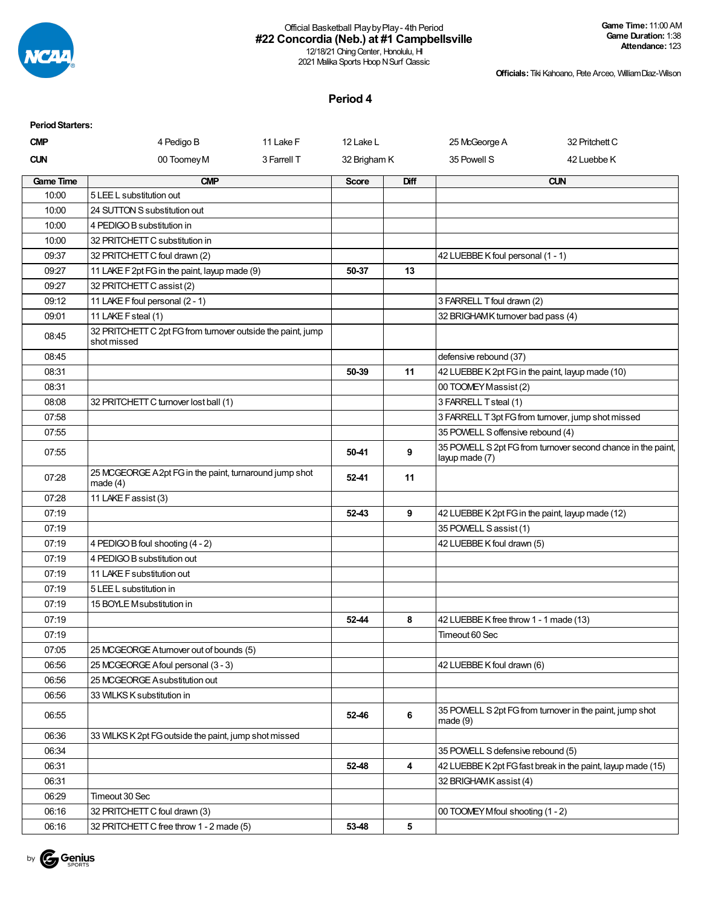

#### Official Basketball PlaybyPlay- 4th Period **#22 Concordia (Neb.) at #1 Campbellsville** 12/18/21 Ching Center, Honolulu, HI

2021 Malika Sports Hoop N Surf Classic

**Officials:**Tiki Kahoano, Pete Arceo, WilliamDiaz-Wilson

#### **Period 4**

| <b>Period Starters:</b> |                                                                            |             |              |                  |                                                  |                                                              |
|-------------------------|----------------------------------------------------------------------------|-------------|--------------|------------------|--------------------------------------------------|--------------------------------------------------------------|
| <b>CMP</b>              | 4 Pedigo B                                                                 | 11 Lake F   | 12 Lake L    |                  | 25 McGeorge A                                    | 32 Pritchett C                                               |
| <b>CUN</b>              | 00 Toomey M                                                                | 3 Farrell T | 32 Brigham K |                  | 35 Powell S                                      | 42 Luebbe K                                                  |
| <b>Game Time</b>        | <b>CMP</b>                                                                 |             | <b>Score</b> | Diff             |                                                  | <b>CUN</b>                                                   |
| 10:00                   | 5 LEE L substitution out                                                   |             |              |                  |                                                  |                                                              |
| 10:00                   | 24 SUTTON S substitution out                                               |             |              |                  |                                                  |                                                              |
| 10:00                   | 4 PEDIGO B substitution in                                                 |             |              |                  |                                                  |                                                              |
| 10:00                   | 32 PRITCHETT C substitution in                                             |             |              |                  |                                                  |                                                              |
| 09:37                   | 32 PRITCHETT C foul drawn (2)                                              |             |              |                  | 42 LUEBBE K foul personal (1 - 1)                |                                                              |
| 09:27                   | 11 LAKE F 2pt FG in the paint, layup made (9)                              |             | 50-37        | 13               |                                                  |                                                              |
| 09:27                   | 32 PRITCHETT C assist (2)                                                  |             |              |                  |                                                  |                                                              |
| 09:12                   | 11 LAKE F foul personal (2 - 1)                                            |             |              |                  | 3 FARRELL T foul drawn (2)                       |                                                              |
| 09:01                   | 11 LAKE F steal (1)                                                        |             |              |                  | 32 BRIGHAMK turnover bad pass (4)                |                                                              |
| 08:45                   | 32 PRITCHETT C 2pt FG from turnover outside the paint, jump<br>shot missed |             |              |                  |                                                  |                                                              |
| 08:45                   |                                                                            |             |              |                  | defensive rebound (37)                           |                                                              |
| 08:31                   |                                                                            |             | 50-39        | 11               | 42 LUEBBE K 2pt FG in the paint, layup made (10) |                                                              |
| 08:31                   |                                                                            |             |              |                  | 00 TOOMEY Massist (2)                            |                                                              |
| 08:08                   | 32 PRITCHETT C turnover lost ball (1)                                      |             |              |                  | 3 FARRELL T steal (1)                            |                                                              |
| 07:58                   |                                                                            |             |              |                  |                                                  | 3 FARRELL T 3pt FG from turnover, jump shot missed           |
| 07:55                   |                                                                            |             |              |                  | 35 POWELL S offensive rebound (4)                |                                                              |
| 07:55                   |                                                                            |             | 50-41        | 9                | layup made (7)                                   | 35 POWELL S 2pt FG from turnover second chance in the paint, |
| 07:28                   | 25 MCGEORGE A 2pt FG in the paint, turnaround jump shot<br>made $(4)$      |             | 52-41        | 11               |                                                  |                                                              |
| 07:28                   | 11 LAKE F assist (3)                                                       |             |              |                  |                                                  |                                                              |
| 07:19                   |                                                                            |             | 52-43        | 9                | 42 LUEBBE K 2pt FG in the paint, layup made (12) |                                                              |
| 07:19                   |                                                                            |             |              |                  | 35 POWELL S assist (1)                           |                                                              |
| 07:19                   | 4 PEDIGO B foul shooting (4 - 2)                                           |             |              |                  | 42 LUEBBE K foul drawn (5)                       |                                                              |
| 07:19                   | 4 PEDIGO B substitution out                                                |             |              |                  |                                                  |                                                              |
| 07:19                   | 11 LAKE F substitution out                                                 |             |              |                  |                                                  |                                                              |
| 07:19                   | 5 LEE L substitution in                                                    |             |              |                  |                                                  |                                                              |
| 07:19                   | 15 BOYLE Msubstitution in                                                  |             |              |                  |                                                  |                                                              |
| 07:19                   |                                                                            |             | 52-44        | 8                | 42 LUEBBE K free throw 1 - 1 made (13)           |                                                              |
| 07:19                   |                                                                            |             |              |                  | Timeout 60 Sec                                   |                                                              |
| 07:05                   | 25 MCGEORGE Aturnover out of bounds (5)                                    |             |              |                  |                                                  |                                                              |
| 06:56                   | 25 MCGEORGE A foul personal (3 - 3)                                        |             |              |                  | 42 LUEBBE K foul drawn (6)                       |                                                              |
| 06:56                   | 25 MCGEORGE A substitution out                                             |             |              |                  |                                                  |                                                              |
| 06:56                   | 33 WILKS K substitution in                                                 |             |              |                  |                                                  |                                                              |
| 06:55                   |                                                                            |             | 52-46        | $\bf 6$          | made(9)                                          | 35 POWELL S 2pt FG from turnover in the paint, jump shot     |
| 06:36                   | 33 WILKS K 2pt FG outside the paint, jump shot missed                      |             |              |                  |                                                  |                                                              |
| 06:34                   |                                                                            |             |              |                  | 35 POWELL S defensive rebound (5)                |                                                              |
| 06:31                   |                                                                            |             | 52-48        | $\boldsymbol{4}$ |                                                  | 42 LUEBBE K 2pt FG fast break in the paint, layup made (15)  |
| 06:31                   |                                                                            |             |              |                  | 32 BRIGHAMK assist (4)                           |                                                              |
| 06:29                   | Timeout 30 Sec                                                             |             |              |                  |                                                  |                                                              |
| 06:16                   | 32 PRITCHETT C foul drawn (3)                                              |             |              |                  | 00 TOOMEY Mfoul shooting (1 - 2)                 |                                                              |
| 06:16                   | 32 PRITCHETT C free throw 1 - 2 made (5)                                   |             | 53-48        | 5                |                                                  |                                                              |

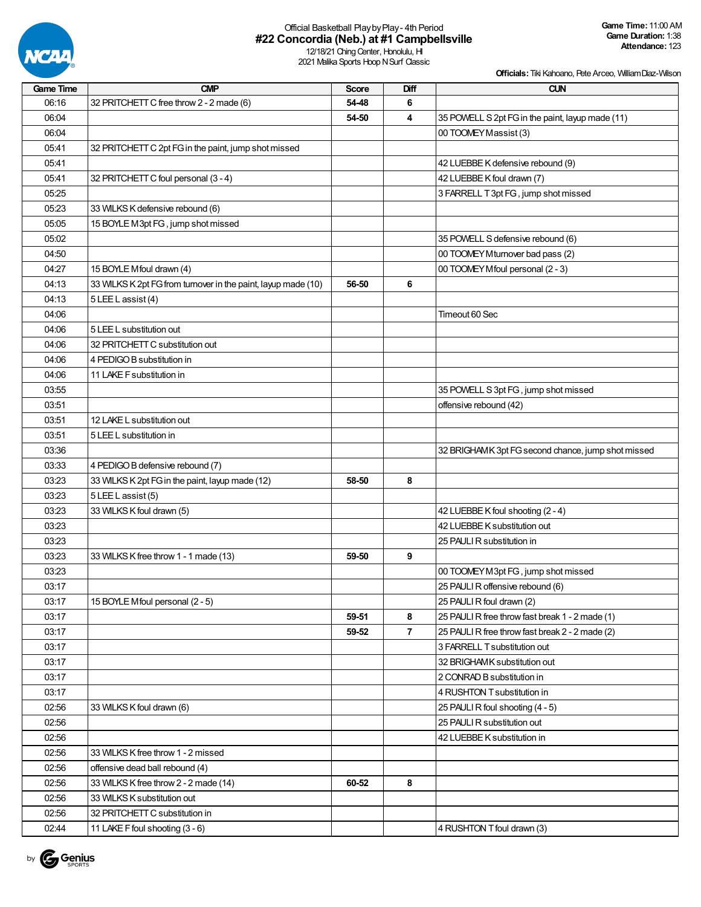

## Official Basketball PlaybyPlay- 4th Period **#22 Concordia (Neb.) at #1 Campbellsville**

12/18/21 Ching Center, Honolulu, HI 2021 Malika Sports Hoop N Surf Classic

| <b>Game Time</b> | <b>CMP</b>                                                    | <b>Score</b> | Diff           | <b>CUN</b>                                         |
|------------------|---------------------------------------------------------------|--------------|----------------|----------------------------------------------------|
| 06:16            | 32 PRITCHETT C free throw 2 - 2 made (6)                      | 54-48        | 6              |                                                    |
| 06:04            |                                                               | 54-50        | 4              | 35 POWELL S 2pt FG in the paint, layup made (11)   |
| 06:04            |                                                               |              |                | 00 TOOMEY Massist (3)                              |
| 05:41            | 32 PRITCHETT C 2pt FG in the paint, jump shot missed          |              |                |                                                    |
| 05:41            |                                                               |              |                | 42 LUEBBE K defensive rebound (9)                  |
| 05:41            | 32 PRITCHETT C foul personal (3 - 4)                          |              |                | 42 LUEBBE K foul drawn (7)                         |
| 05:25            |                                                               |              |                | 3 FARRELL T 3pt FG, jump shot missed               |
| 05:23            | 33 WILKS K defensive rebound (6)                              |              |                |                                                    |
| 05:05            | 15 BOYLE M3pt FG, jump shot missed                            |              |                |                                                    |
| 05:02            |                                                               |              |                | 35 POWELL S defensive rebound (6)                  |
| 04:50            |                                                               |              |                | 00 TOOMEY Mturnover bad pass (2)                   |
| 04:27            | 15 BOYLE Mfoul drawn (4)                                      |              |                | 00 TOOMEY Mfoul personal (2 - 3)                   |
| 04:13            | 33 WILKS K 2pt FG from turnover in the paint, layup made (10) | 56-50        | 6              |                                                    |
| 04:13            | 5 LEE L assist (4)                                            |              |                |                                                    |
| 04:06            |                                                               |              |                | Timeout 60 Sec                                     |
|                  |                                                               |              |                |                                                    |
| 04:06            | 5 LEE L substitution out                                      |              |                |                                                    |
| 04:06            | 32 PRITCHETT C substitution out                               |              |                |                                                    |
| 04:06            | 4 PEDIGO B substitution in                                    |              |                |                                                    |
| 04:06            | 11 LAKE F substitution in                                     |              |                |                                                    |
| 03:55            |                                                               |              |                | 35 POWELL S 3pt FG, jump shot missed               |
| 03:51            |                                                               |              |                | offensive rebound (42)                             |
| 03:51            | 12 LAKE L substitution out                                    |              |                |                                                    |
| 03:51            | 5 LEE L substitution in                                       |              |                |                                                    |
| 03:36            |                                                               |              |                | 32 BRIGHAMK 3pt FG second chance, jump shot missed |
| 03:33            | 4 PEDIGO B defensive rebound (7)                              |              |                |                                                    |
| 03:23            | 33 WILKS K 2pt FG in the paint, layup made (12)               | 58-50        | 8              |                                                    |
| 03:23            | 5 LEE L assist (5)                                            |              |                |                                                    |
| 03:23            | 33 WILKS K foul drawn (5)                                     |              |                | 42 LUEBBE K foul shooting (2 - 4)                  |
| 03:23            |                                                               |              |                | 42 LUEBBE K substitution out                       |
| 03:23            |                                                               |              |                | 25 PAULI R substitution in                         |
| 03:23            | 33 WILKS K free throw 1 - 1 made (13)                         | 59-50        | 9              |                                                    |
| 03:23            |                                                               |              |                | 00 TOOMEY M3pt FG, jump shot missed                |
| 03:17            |                                                               |              |                | 25 PAULI R offensive rebound (6)                   |
| 03:17            | 15 BOYLE Mfoul personal (2 - 5)                               |              |                | 25 PAULI R foul drawn (2)                          |
| 03:17            |                                                               | 59-51        | 8              | 25 PAULI R free throw fast break 1 - 2 made (1)    |
| 03:17            |                                                               | 59-52        | $\overline{7}$ | 25 PAULI R free throw fast break 2 - 2 made (2)    |
| 03:17            |                                                               |              |                | 3 FARRELL T substitution out                       |
| 03:17            |                                                               |              |                | 32 BRIGHAMK substitution out                       |
| 03:17            |                                                               |              |                | 2 CONRAD B substitution in                         |
| 03:17            |                                                               |              |                | 4 RUSHTON T substitution in                        |
| 02:56            | 33 WILKS K foul drawn (6)                                     |              |                | 25 PAULI R foul shooting (4 - 5)                   |
| 02:56            |                                                               |              |                | 25 PAULI R substitution out                        |
| 02:56            |                                                               |              |                | 42 LUEBBE K substitution in                        |
| 02:56            | 33 WILKS K free throw 1 - 2 missed                            |              |                |                                                    |
| 02:56            | offensive dead ball rebound (4)                               |              |                |                                                    |
| 02:56            | 33 WILKS K free throw 2 - 2 made (14)                         | 60-52        | 8              |                                                    |
| 02:56            | 33 WILKS K substitution out                                   |              |                |                                                    |
| 02:56            | 32 PRITCHETT C substitution in                                |              |                |                                                    |
|                  |                                                               |              |                |                                                    |
| 02:44            | 11 LAKE F foul shooting (3 - 6)                               |              |                | 4 RUSHTON T foul drawn (3)                         |

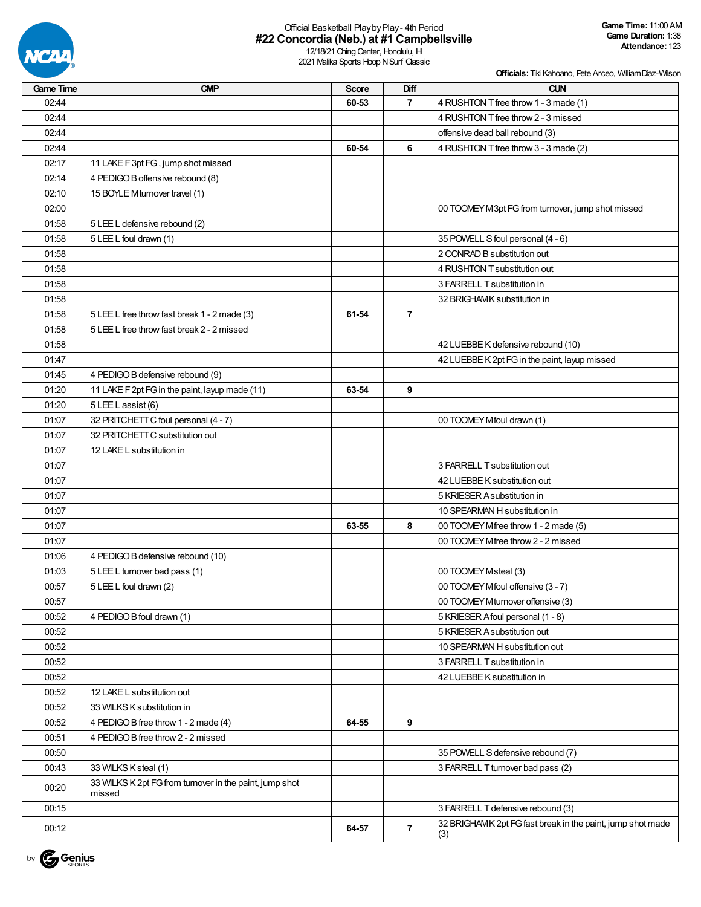

## Official Basketball PlaybyPlay- 4th Period **#22 Concordia (Neb.) at #1 Campbellsville**

12/18/21 Ching Center, Honolulu, HI 2021 Malika Sports Hoop N Surf Classic

**Officials:**Tiki Kahoano, Pete Arceo, WilliamDiaz-Wilson

| <b>Game Time</b> | <b>CMP</b>                                              | Score | Diff           | <b>CUN</b>                                                        |
|------------------|---------------------------------------------------------|-------|----------------|-------------------------------------------------------------------|
| 02:44            |                                                         | 60-53 | $\overline{7}$ | 4 RUSHTON T free throw 1 - 3 made (1)                             |
| 02:44            |                                                         |       |                | 4 RUSHTON T free throw 2 - 3 missed                               |
| 02:44            |                                                         |       |                | offensive dead ball rebound (3)                                   |
| 02:44            |                                                         | 60-54 | 6              | 4 RUSHTON T free throw 3 - 3 made (2)                             |
| 02:17            | 11 LAKE F 3pt FG, jump shot missed                      |       |                |                                                                   |
| 02:14            | 4 PEDIGO B offensive rebound (8)                        |       |                |                                                                   |
| 02:10            | 15 BOYLE Mturnover travel (1)                           |       |                |                                                                   |
| 02:00            |                                                         |       |                | 00 TOOMEY M3pt FG from turnover, jump shot missed                 |
| 01:58            | 5 LEE L defensive rebound (2)                           |       |                |                                                                   |
| 01:58            | 5 LEE L foul drawn (1)                                  |       |                | 35 POWELL S foul personal (4 - 6)                                 |
| 01:58            |                                                         |       |                | 2 CONRAD B substitution out                                       |
| 01:58            |                                                         |       |                | 4 RUSHTON T substitution out                                      |
| 01:58            |                                                         |       |                | 3 FARRELL T substitution in                                       |
| 01:58            |                                                         |       |                | 32 BRIGHAMK substitution in                                       |
| 01:58            | 5 LEE L free throw fast break 1 - 2 made (3)            | 61-54 | $\overline{7}$ |                                                                   |
| 01:58            | 5 LEE L free throw fast break 2 - 2 missed              |       |                |                                                                   |
| 01:58            |                                                         |       |                | 42 LUEBBE K defensive rebound (10)                                |
| 01:47            |                                                         |       |                | 42 LUEBBE K 2pt FG in the paint, layup missed                     |
| 01:45            | 4 PEDIGO B defensive rebound (9)                        |       |                |                                                                   |
| 01:20            | 11 LAKE F 2pt FG in the paint, layup made (11)          | 63-54 | 9              |                                                                   |
| 01:20            | 5 LEE L assist (6)                                      |       |                |                                                                   |
| 01:07            | 32 PRITCHETT C foul personal (4 - 7)                    |       |                | 00 TOOMEY Mfoul drawn (1)                                         |
| 01:07            | 32 PRITCHETT C substitution out                         |       |                |                                                                   |
| 01:07            | 12 LAKE L substitution in                               |       |                |                                                                   |
| 01:07            |                                                         |       |                | 3 FARRELL T substitution out                                      |
| 01:07            |                                                         |       |                | 42 LUEBBE K substitution out                                      |
| 01:07            |                                                         |       |                | 5 KRIESER Asubstitution in                                        |
| 01:07            |                                                         |       |                | 10 SPEARMAN H substitution in                                     |
| 01:07            |                                                         | 63-55 | 8              | 00 TOOMEY Mfree throw 1 - 2 made (5)                              |
| 01:07            |                                                         |       |                | 00 TOOMEY M free throw 2 - 2 missed                               |
| 01:06            | 4 PEDIGO B defensive rebound (10)                       |       |                |                                                                   |
| 01:03            | 5 LEE L turnover bad pass (1)                           |       |                | 00 TOOMEY Msteal (3)                                              |
| 00:57            | 5 LEE L foul drawn (2)                                  |       |                | 00 TOOMEY Mfoul offensive (3 - 7)                                 |
| 00:57            |                                                         |       |                | 00 TOOMEY Mturnover offensive (3)                                 |
| 00:52            | 4 PEDIGO B foul drawn (1)                               |       |                | 5 KRIESER Afoul personal (1 - 8)                                  |
| 00:52            |                                                         |       |                | 5 KRIESER A substitution out                                      |
| 00:52            |                                                         |       |                | 10 SPEARMAN H substitution out                                    |
| 00:52            |                                                         |       |                | 3 FARRELL T substitution in                                       |
| 00:52            |                                                         |       |                | 42 LUEBBE K substitution in                                       |
| 00:52            | 12 LAKE L substitution out                              |       |                |                                                                   |
| 00:52            | 33 WILKS K substitution in                              |       |                |                                                                   |
| 00:52            | 4 PEDIGO B free throw 1 - 2 made (4)                    | 64-55 | 9              |                                                                   |
| 00:51            | 4 PEDIGO B free throw 2 - 2 missed                      |       |                |                                                                   |
| 00:50            |                                                         |       |                | 35 POWELL S defensive rebound (7)                                 |
| 00:43            | 33 WILKS K steal (1)                                    |       |                | 3 FARRELL T turnover bad pass (2)                                 |
| 00:20            | 33 WILKS K 2pt FG from turnover in the paint, jump shot |       |                |                                                                   |
|                  | missed                                                  |       |                |                                                                   |
| 00:15            |                                                         |       |                | 3 FARRELL T defensive rebound (3)                                 |
| 00:12            |                                                         | 64-57 | $\overline{7}$ | 32 BRIGHAMK 2pt FG fast break in the paint, jump shot made<br>(3) |

by **G** Genius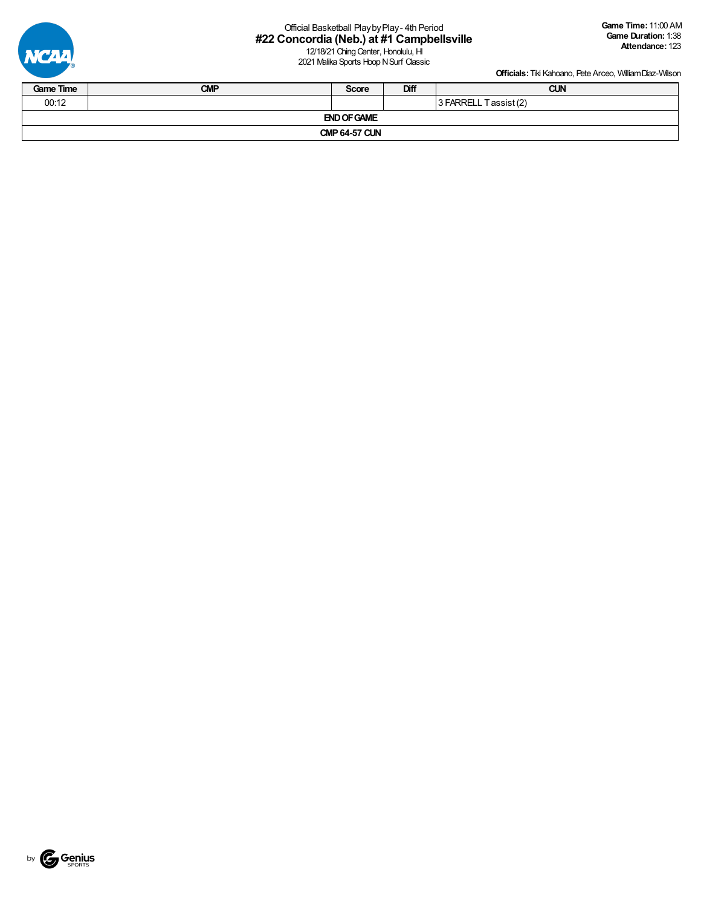

# Official Basketball PlaybyPlay- 4th Period **#22 Concordia (Neb.) at #1 Campbellsville**

12/18/21 Ching Center, Honolulu, HI 2021 Malika Sports Hoop N Surf Classic

| <b>Game Time</b>               | <b>CMP</b> | <b>Score</b> | Diff | <b>CUN</b> |  |  |  |  |
|--------------------------------|------------|--------------|------|------------|--|--|--|--|
| 00:12<br>3 FARRELL Tassist (2) |            |              |      |            |  |  |  |  |
| <b>END OF GAME</b>             |            |              |      |            |  |  |  |  |
| <b>CMP 64-57 CUN</b>           |            |              |      |            |  |  |  |  |

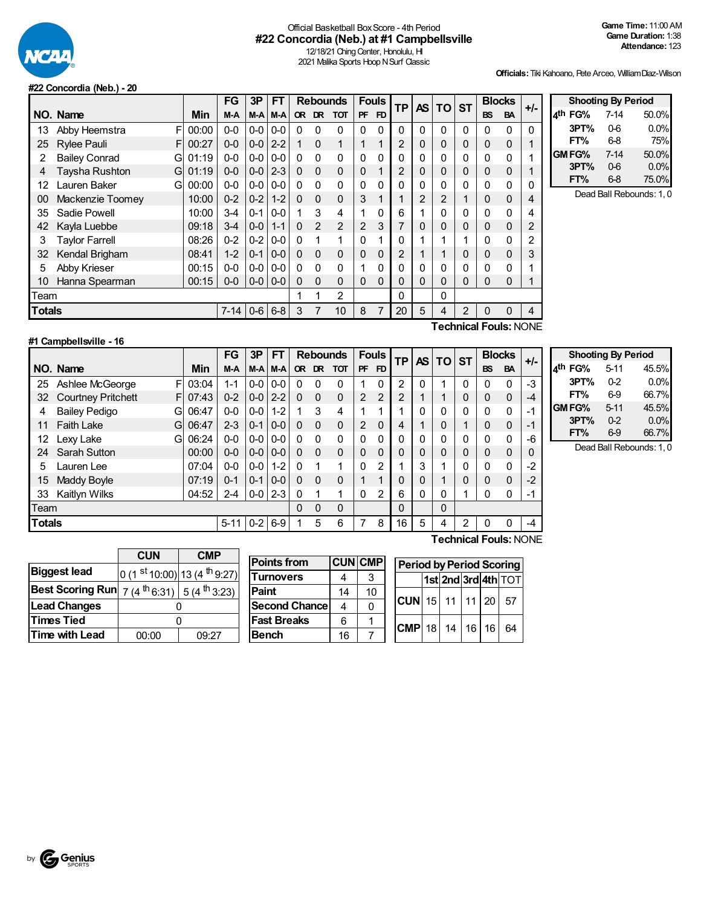

### Official Basketball BoxScore - 4th Period **#22 Concordia (Neb.) at #1 Campbellsville**

**FT%** 6-8 75%

**FT%** 6-8 75.0%

12/18/21 Ching Center, Honolulu, HI 2021 Malika Sports Hoop N Surf Classic

**Officials:**Tiki Kahoano, Pete Arceo, WilliamDiaz-Wilson

**Shooting By Period 4 th FG%** 7-14 50.0% **3PT%** 0-6 0.0%

**GMFG%** 7-14 50.0% **3PT%** 0-6 0.0%

Dead Ball Rebounds: 1, 0

#### **#22 Concordia (Neb.) - 20**

|               |                           |       | <b>FG</b> | 3P      | FT            |          | <b>Rebounds</b> |              |                | <b>Fouls</b>   |           | <b>AS</b> | <b>TO</b> | <b>ST</b>    |           | <b>Blocks</b> | $+/-$ |
|---------------|---------------------------|-------|-----------|---------|---------------|----------|-----------------|--------------|----------------|----------------|-----------|-----------|-----------|--------------|-----------|---------------|-------|
|               | NO. Name                  | Min   | M-A       |         | M-A M-A       |          | OR DR           | <b>TOT</b>   | <b>PF</b>      | F <sub>D</sub> | <b>TP</b> |           |           |              | <b>BS</b> | <b>BA</b>     |       |
| 13            | F<br>Abby Heemstra        | 00:00 | $0-0$     | $0 - 0$ | $0-0$         | 0        | 0               | $\Omega$     | 0              | 0              | $\Omega$  | 0         | 0         | 0            | 0         | 0             | 0     |
| 25            | <b>Rylee Pauli</b><br>F   | 00:27 | $0-0$     | $0-0$   | $2 - 2$       |          | $\Omega$        | 1            |                |                | 2         | 0         | 0         | 0            | 0         | 0             |       |
| 2             | <b>Bailey Conrad</b><br>G | 01:19 | $0-0$     | $0-0$   | $0-0$         | 0        | $\Omega$        | $\Omega$     | 0              | 0              | 0         | 0         | 0         | 0            | 0         | 0             |       |
| 4             | Taysha Rushton<br>G       | 01:19 | $0 - 0$   | $0-0$   | $2 - 3$       | $\Omega$ | $\Omega$        | $\Omega$     | 0              |                | 2         | 0         | 0         | 0            | 0         | 0             |       |
| 12            | Lauren Baker<br>G         | 00:00 | $0-0$     |         | $0 - 0 0 - 0$ | $\Omega$ | $\Omega$        | $\mathbf{0}$ | 0              | 0              | $\Omega$  | 0         | 0         | $\mathbf{0}$ | $\Omega$  | 0             | 0     |
| 00            | Mackenzie Toomey          | 10:00 | $0 - 2$   | $0-2$   | $1 - 2$       | $\Omega$ | $\Omega$        | $\Omega$     | 3              |                |           | 2         | 2         |              | 0         | 0             | 4     |
| 35            | Sadie Powell              | 10:00 | $3 - 4$   | $0 - 1$ | $0-0$         |          | 3               | 4            | 1              | 0              | 6         |           | 0         | 0            | 0         | 0             | 4     |
| 42            | Kayla Luebbe              | 09:18 | $3 - 4$   | $0-0$   | $1 - 1$       | $\Omega$ | 2               | 2            | $\overline{2}$ | 3              | 7         | 0         | 0         | 0            | $\Omega$  | 0             | 2     |
| 3             | Taylor Farrell            | 08:26 | $0 - 2$   | $0-2$   | $0-0$         | 0        | 1               |              | 0              |                | 0         |           |           |              | 0         | 0             | 2     |
| 32            | Kendal Brigham            | 08:41 | $1 - 2$   | $0 - 1$ | $0-0$         | $\Omega$ | $\Omega$        | $\Omega$     | $\Omega$       | 0              | 2         |           | 1         | $\mathbf{0}$ | $\Omega$  | 0             | 3     |
| 5             | Abby Krieser              | 00:15 | $0-0$     |         | $0 - 0 0 - 0$ | 0        | $\Omega$        | $\Omega$     | 1              | 0              | $\Omega$  | 0         | 0         |              | 0         | 0             |       |
| 10            | Hanna Spearman            | 00:15 | $0 - 0$   | $0-0$   | $0 - 0$       | 0        | $\mathbf{0}$    | $\Omega$     | $\Omega$       | 0              | 0         | 0         | 0         | $\Omega$     | 0         | 0             |       |
| Team          |                           |       |           |         |               |          |                 | 2            |                |                | 0         |           | 0         |              |           |               |       |
| <b>Totals</b> |                           |       | $7 - 14$  |         | $0-6$ 6-8     | 3        |                 | 10           | 8              | 7              | 20        | 5         | 4         | 2            | $\Omega$  | 0             | 4     |
|               | Toobnical Foule: NONE     |       |           |         |               |          |                 |              |                |                |           |           |           |              |           |               |       |

| 1             |
|---------------|
|               |
|               |
|               |
| $\frac{2}{3}$ |
| 1             |
| Í             |
|               |

#### **#1 Campbellsville - 16**

**Technical Fouls:**NONE

|               |                                 |       | FG       | 3P      | FT      |          | <b>Rebounds</b> |                |          | <b>Fouls</b>   | ТP             |   | TO ST<br><b>AS</b> |              | <b>Blocks</b> |             | $+/-$ |
|---------------|---------------------------------|-------|----------|---------|---------|----------|-----------------|----------------|----------|----------------|----------------|---|--------------------|--------------|---------------|-------------|-------|
|               | NO. Name                        | Min   | $M-A$    | M-A     | M-A     | OR.      | DR.             | <b>TOT</b>     | PF       | FD             |                |   |                    |              | <b>BS</b>     | <b>BA</b>   |       |
| 25            | Ashlee McGeorge<br>F            | 03:04 | $1 - 1$  | $0-0$   | $0-0$   | 0        | $\Omega$        | 0              |          | 0              | 2              | 0 |                    | 0            | 0             | $\Omega$    | $-3$  |
| 32            | <b>Courtney Pritchett</b><br>F. | 07:43 | $0 - 2$  | $0 - 0$ | $2 - 2$ | $\Omega$ | $\Omega$        | 0              | 2        | $\overline{2}$ | $\overline{2}$ |   |                    | 0            | $\Omega$      | $\mathbf 0$ | $-4$  |
| 4             | <b>Bailey Pedigo</b><br>G       | 06:47 | $0 - 0$  | $0-0$   | $1 - 2$ |          | 3               | 4              |          | 1              |                | 0 | 0                  | $\mathbf{0}$ | 0             | 0           | -1    |
| 11            | <b>Faith Lake</b><br>G          | 06:47 | $2 - 3$  | $0 - 1$ | $0 - 0$ | 0        | $\Omega$        | 0              | 2        | $\mathbf{0}$   | 4              |   | 0                  | 1            | 0             | 0           | $-1$  |
| 12            | Lexy Lake<br>G                  | 06:24 | $0 - 0$  | $0 - 0$ | $0 - 0$ | 0        | $\Omega$        | 0              | $\Omega$ | 0              | 0              | 0 | 0                  | $\mathbf{0}$ | 0             | $\Omega$    | -6    |
| 24            | Sarah Sutton                    | 00:00 | $0 - 0$  | $0-0$   | $0 - 0$ | $\Omega$ | $\Omega$        | $\overline{0}$ | $\Omega$ | $\mathbf 0$    | $\Omega$       | 0 | 0                  | 0            | $\Omega$      | $\Omega$    | 0     |
| 5             | Lauren Lee                      | 07:04 | $0 - 0$  | $0-0$   | $1 - 2$ | 0        | 1               | 1              | $\Omega$ | $\overline{2}$ |                | 3 |                    | $\mathbf{0}$ | 0             | 0           | $-2$  |
| 15            | Maddy Boyle                     | 07:19 | $0 - 1$  | $0 - 1$ | $0 - 0$ | 0        | $\Omega$        | $\overline{0}$ |          | 1              | $\Omega$       | 0 |                    | 0            | $\Omega$      | 0           | $-2$  |
| 33            | Kaitlyn Wilks                   | 04:52 | $2 - 4$  | $0-0$   | $2 - 3$ | $\Omega$ |                 | 1              | $\Omega$ | $\overline{2}$ | 6              | 0 | 0                  |              | 0             | 0           | -1    |
| Team          |                                 |       |          |         |         | $\Omega$ | $\Omega$        | 0              |          |                | $\Omega$       |   | 0                  |              |               |             |       |
| <b>Totals</b> |                                 |       | $5 - 11$ | $0 - 2$ | $6-9$   |          | 5               | 6              |          | 8              | 16             | 5 | 4                  | 2            | 0             | 0           | $-4$  |

|             | <b>Shooting By Period</b> |       |
|-------------|---------------------------|-------|
| $_4$ th FG% | $5 - 11$                  | 45.5% |
| 3PT%        | 0.2                       | 0.0%  |
| FT%         | 6.9                       | 66.7% |
| GM FG%      | $5 - 11$                  | 45.5% |
| 3PT%        | $0 - 2$                   | 0.0%  |
| FT%         | 69                        | 66.7% |

Dead Ball Rebounds: 1, 0

|                         | <b>CUN</b> | <b>CMP</b>                                        |
|-------------------------|------------|---------------------------------------------------|
| <b>Biggest lead</b>     |            | 0 (1 st 10:00) 13 (4 th 9:27)                     |
| <b>Best Scoring Run</b> |            | 7 (4 <sup>th</sup> 6:31) 5 (4 <sup>th</sup> 3:23) |
| <b>Lead Changes</b>     |            |                                                   |
| <b>Times Tied</b>       |            |                                                   |
| Time with Lead          | 00:00      | 09:27                                             |

| <b>Points from</b>   |    | <b>CUN CMP</b> |
|----------------------|----|----------------|
| <b>Turnovers</b>     |    | 3              |
| Paint                | 14 | 10             |
| <b>Second Chance</b> |    |                |
| <b>Fast Breaks</b>   | հ  |                |
| <b>Bench</b>         | 16 |                |

| <b>Period by Period Scoring</b> |  |  |                     |
|---------------------------------|--|--|---------------------|
|                                 |  |  | 1st 2nd 3rd 4th TOT |
| $ CUN $ 15   11   11   20   57  |  |  |                     |
| $ $ CMP 18 14 16 16 64          |  |  |                     |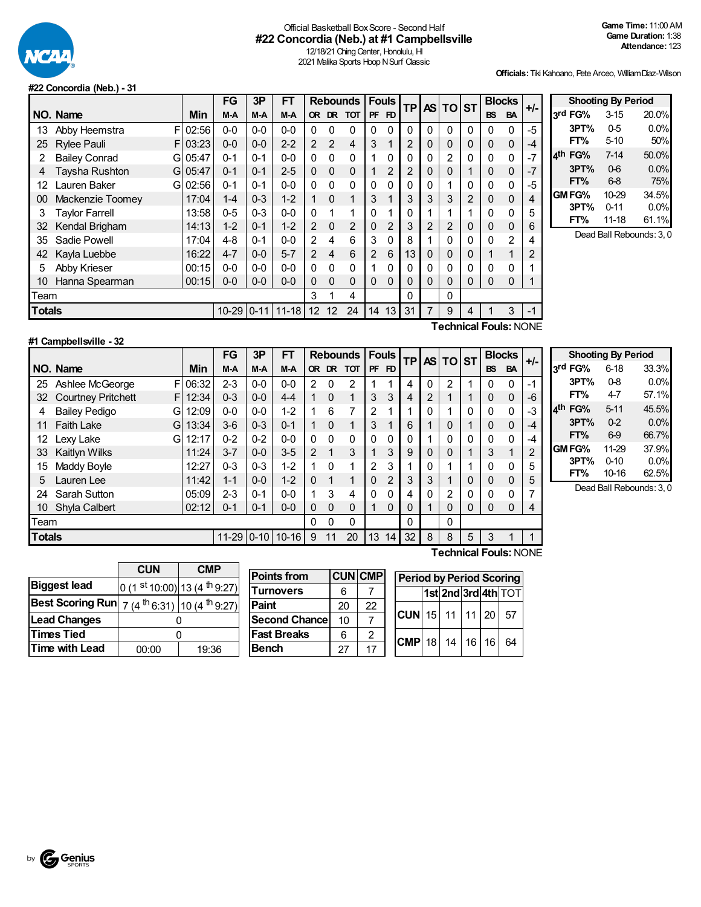

### Official Basketball BoxScore - Second Half **#22 Concordia (Neb.) at #1 Campbellsville**

12/18/21 Ching Center, Honolulu, HI 2021 Malika Sports Hoop N Surf Classic

**Officials:**Tiki Kahoano, Pete Arceo, WilliamDiaz-Wilson

#### **#22 Concordia (Neb.) - 31**

|               |                            |       | FG        | 3P       | FT        |                |                | <b>Rebounds</b> |                | <b>Fouls</b> | <b>TP</b>      |   | AS TO ST |   | <b>Blocks</b>         |                | $+/-$ |
|---------------|----------------------------|-------|-----------|----------|-----------|----------------|----------------|-----------------|----------------|--------------|----------------|---|----------|---|-----------------------|----------------|-------|
|               | NO. Name                   | Min   | M-A       | M-A      | $M-A$     | OR.            |                | DR TOT          | <b>PF</b>      | FD           |                |   |          |   | <b>BS</b>             | <b>BA</b>      |       |
| 13            | F<br>Abby Heemstra         | 02:56 | $0-0$     | $0 - 0$  | $0-0$     | 0              | 0              | 0               | 0              | 0            | 0              | 0 | 0        | 0 | 0                     | $\mathbf 0$    | $-5$  |
| 25            | <b>Rylee Pauli</b><br>FI   | 03:23 | $0 - 0$   | $0 - 0$  | $2 - 2$   | 2              | 2              | 4               | 3              |              | $\overline{2}$ | 0 | 0        | 0 | 0                     | 0              | -4    |
| 2             | <b>Bailey Conrad</b><br>Gl | 05:47 | $0 - 1$   | $0 - 1$  | $0-0$     | 0              | $\Omega$       | $\Omega$        | 1              | $\Omega$     | 0              | 0 | 2        | 0 | 0                     | 0              | $-7$  |
| 4             | Taysha Rushton<br>Gl       | 05:47 | $0 - 1$   | $0 - 1$  | $2 - 5$   | 0              | $\Omega$       | $\mathbf 0$     | 1              | 2            | 2              | 0 | 0        | 1 | 0                     | 0              | -7    |
| 12            | auren Baker<br>GI          | 02:56 | $0 - 1$   | $0 - 1$  | $0-0$     | 0              | $\mathbf{0}$   | 0               | 0              | 0            | 0              | 0 |          | 0 | 0                     | $\mathbf 0$    | -5    |
| 00            | Mackenzie Toomey           | 17:04 | $1 - 4$   | $0 - 3$  | $1 - 2$   |                | $\Omega$       | 1               | 3              |              | 3              | 3 | 3        | 2 | 0                     | 0              |       |
| 3             | <b>Taylor Farrell</b>      | 13:58 | $0 - 5$   | $0 - 3$  | $0-0$     | 0              | 1              | 1               | 0              |              | 0              | 1 |          |   | 0                     | 0              | 5     |
| 32            | Kendal Brigham             | 14:13 | $1 - 2$   | $0 - 1$  | $1 - 2$   | $\overline{2}$ | $\Omega$       | 2               | $\Omega$       | 2            | 3              | 2 | 2        | 0 | 0                     | 0              | 6     |
| 35            | Sadie Powell               | 17:04 | 4-8       | $0 - 1$  | $0-0$     | 2              | 4              | 6               | 3              | 0            | 8              |   | 0        | 0 | 0                     | $\overline{2}$ |       |
| 42            | Kayla Luebbe               | 16:22 | $4 - 7$   | $0 - 0$  | $5 - 7$   | 2              | $\overline{4}$ | 6               | $\overline{2}$ | 6            | 13             | 0 | 0        | 0 |                       | 1              | 2     |
| 5             | Abby Krieser               | 00:15 | $0-0$     | $0 - 0$  | $0-0$     | 0              | $\Omega$       | 0               |                | 0            | 0              | 0 | 0        | 0 | 0                     | 0              |       |
| 10            | Hanna Spearman             | 00:15 | $0-0$     | $0-0$    | $0 - 0$   | 0              | $\Omega$       | 0               | 0              | 0            | 0              | 0 | 0        | 0 | 0                     | $\Omega$       |       |
| Team          |                            |       |           |          |           | 3              |                | 4               |                |              | 0              |   | 0        |   |                       |                |       |
| <b>Totals</b> |                            |       | $10 - 29$ | $0 - 11$ | $11 - 18$ | 12             | 12             | 24              | 14             | 13           | 31             | 7 | 9        | 4 |                       | 3              | $-1$  |
|               |                            |       |           |          |           |                |                |                 |                |              |                |   |          |   | Toobnical Foule: NONE |                |       |

|            | <b>Shooting By Period</b> |       |
|------------|---------------------------|-------|
| 3rd FG%    | $3 - 15$                  | 20.0% |
| 3PT%       | $0-5$                     | 0.0%  |
| FT%        | 5-10                      | 50%   |
| FG%<br>⊿th | $7 - 14$                  | 50.0% |
| 3PT%       | $0-6$                     | 0.0%  |
| FT%        | 6-8                       | 75%   |
| GM FG%     | 10-29                     | 34.5% |
| 3PT%       | $0 - 11$                  | 0.0%  |
| FT%        | $11 - 18$                 | 61.1% |

Dead Ball Rebounds: 3, 0

| #1 Campbellsville - 32 |  |  |  |
|------------------------|--|--|--|

**Technical Fouls:**NONE

|               |                                |            | FG        | 3P       | FT        |                |              | <b>Rebounds</b> |              | <b>Fouls</b><br><b>TP</b> |              |             | <b>ASITOIST</b> |             | <b>Blocks</b> |              | $+/-$ |
|---------------|--------------------------------|------------|-----------|----------|-----------|----------------|--------------|-----------------|--------------|---------------------------|--------------|-------------|-----------------|-------------|---------------|--------------|-------|
|               | NO. Name                       | <b>Min</b> | M-A       | $M-A$    | M-A       |                | OR DR        | <b>TOT</b>      | <b>PF</b>    | FD                        |              |             |                 |             | <b>BS</b>     | <b>BA</b>    |       |
| 25            | F<br>Ashlee McGeorge           | 06:32      | $2 - 3$   | $0-0$    | $0 - 0$   | 2              | 0            | 2               |              | 4                         | 4            | 0           | 2               | ٠           | 0             | $\Omega$     | -1    |
| 32            | <b>Courtney Pritchett</b><br>F | 12:34      | $0 - 3$   | $0 - 0$  | $4 - 4$   | 1              | $\Omega$     | 1               | 3            | 3                         | 4            | 2           |                 |             | 0             | $\Omega$     | -6    |
| 4             | <b>Bailey Pedigo</b><br>G      | 12:09      | $0-0$     | $0-0$    | $1 - 2$   | 1              | 6            | 7               | 2            | 4                         |              | 0           | и               | 0           | $\mathbf 0$   | $\mathbf{0}$ | -3    |
| 11            | <b>Faith Lake</b><br>G         | 13:34      | $3-6$     | $0 - 3$  | $0 - 1$   | 1              | $\Omega$     | 1               | 3            | 1                         | 6            |             | 0               | 4           | 0             | $\Omega$     | -4    |
| 12            | Lexy Lake<br>G                 | 12:17      | $0 - 2$   | $0 - 2$  | $0-0$     | 0              | $\mathbf{0}$ | 0               | $\mathbf{0}$ | 0                         | 0            |             | 0               | 0           | 0             | $\mathbf{0}$ | -4    |
| 33            | Kaitlyn Wilks                  | 11:24      | $3 - 7$   | $0 - 0$  | $3 - 5$   | $\overline{2}$ | 1            | 3               |              | 3                         | 9            | $\mathbf 0$ | 0               | -1          | 3             | 4            | 2     |
| 15            | Maddy Boyle                    | 12:27      | $0 - 3$   | $0 - 3$  | $1 - 2$   | 1              | 0            | 1               | 2            | 3                         |              | 0           |                 |             | 0             | $\mathbf{0}$ | 5     |
| 5             | Lauren Lee                     | 11:42      | $1 - 1$   | $0 - 0$  | $1 - 2$   | $\Omega$       | 1            | 1               | $\Omega$     | 2                         | 3            | 3           | 1               | 0           | 0             | $\Omega$     | 5     |
| 24            | Sarah Sutton                   | 05:09      | $2 - 3$   | $0 - 1$  | $0 - 0$   | 1              | 3            | 4               | $\Omega$     | 0                         |              | 0           | 2               | 0           | 0             | $\mathbf{0}$ | 7     |
| 10            | <b>Shyla Calbert</b>           | 02:12      | $0 - 1$   | $0 - 1$  | $0 - 0$   | 0              | $\Omega$     | 0               | 1            | $\Omega$                  | $\Omega$     |             | 0               | $\mathbf 0$ | 0             | $\Omega$     | 4     |
| Team          |                                |            |           |          |           | 0              | 0            | 0               |              |                           | $\mathbf{0}$ |             | 0               |             |               |              |       |
| <b>Totals</b> |                                |            | $11 - 29$ | $0 - 10$ | $10 - 16$ | 9              | 11           | 20              | 13           | 14                        | 32           | 8           | 8               | 5           | 3             |              |       |

**Shooting By Period 3 rd FG%** 6-18 33.3% **3PT%** 0-8 0.0% **FT%** 4-7 57.1% **4 th FG%** 5-11 45.5% **3PT%** 0-2 0.0% **FT%** 6-9 66.7% **GM FG%** 11-29 37.9%<br> **3PT%** 0-10 0.0% **3PT%** 0-10 0.0%<br>**FT%** 10-16 62.5% **10-16** 

Dead Ball Rebounds: 3, 0

|                         | <b>CUN</b>                    | <b>CMP</b>                                         |
|-------------------------|-------------------------------|----------------------------------------------------|
| <b>Biggest lead</b>     | 0 (1 st 10:00) 13 (4 th 9:27) |                                                    |
| <b>Best Scoring Run</b> |                               | 7 (4 <sup>th</sup> 6:31) 10 (4 <sup>th</sup> 9:27) |
| <b>Lead Changes</b>     |                               |                                                    |
| <b>Times Tied</b>       |                               |                                                    |
| Time with Lead          | 00:00                         | 19:36                                              |

| <b>Points from</b>   |    | <b>CUN CMP</b> | Peri        |
|----------------------|----|----------------|-------------|
| <b>Turnovers</b>     | 6  |                |             |
| Paint                | 20 | 22             |             |
| <b>Second Chance</b> | 10 |                | <b>ICUN</b> |
| <b>Fast Breaks</b>   | 6  | 2              |             |
| <b>Bench</b>         | 27 | 17             | <b>CMP</b>  |

| MР      | <b>Period by Period Scoring</b> |  |  |  |  |                     |
|---------|---------------------------------|--|--|--|--|---------------------|
|         |                                 |  |  |  |  | 1st 2nd 3rd 4th TOT |
| ?י      | $ CUN $ 15   11   11   20   57  |  |  |  |  |                     |
| 2<br>17 | $ $ CMP 18 14 16 16 64          |  |  |  |  |                     |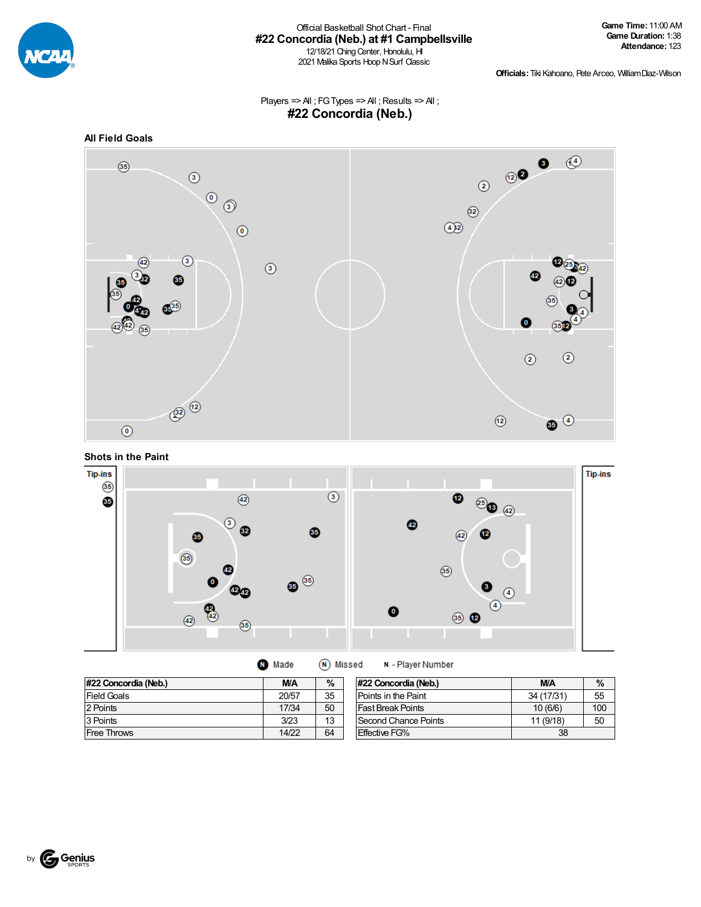

#### Official Basketball ShotChart - Final **#22 Concordia (Neb.) at #1 Campbellsville** 12/18/21 Ching Center, Honolulu, HI 2021 Malika Sports Hoop N Surf Classic

**Officials:**Tiki Kahoano, Pete Arceo, WilliamDiaz-Wilson

Players => All ; FG Types => All ; Results => All ; **#22 Concordia (Neb.)**







 $\widehat{N}$  Missed M Made

N - Player Number

| #22 Concordia (Neb.) | M/A   | $\%$ | #22 Concordia (Neb.)     | <b>M/A</b> | $\%$ |
|----------------------|-------|------|--------------------------|------------|------|
| Field Goals          | 20/57 | 35   | Points in the Paint      | 34 (17/31) | 55   |
| 2 Points             | 17/34 | 50   | <b>Fast Break Points</b> | 10(6/6)    | 100  |
| 3 Points             | 3/23  | 13   | Second Chance Points     | 11 (9/18)  | 50   |
| <b>Free Throws</b>   | 14/22 | 64   | <b>Effective FG%</b>     | 38         |      |